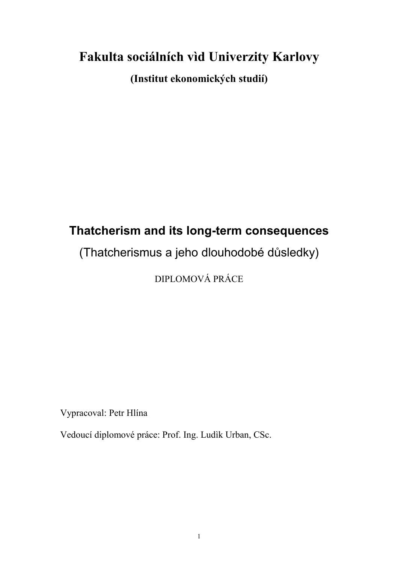# **Fakulta sociálních vìd Univerzity Karlovy**

**(Institut ekonomických studií)**

# **Thatcherism and its long-term consequences**

## (Thatcherismus a jeho dlouhodobé důsledky)

DIPLOMOVÁ PRÁCE

Vypracoval: Petr Hlína

Vedoucí diplomové práce: Prof. Ing. Ludìk Urban, CSc.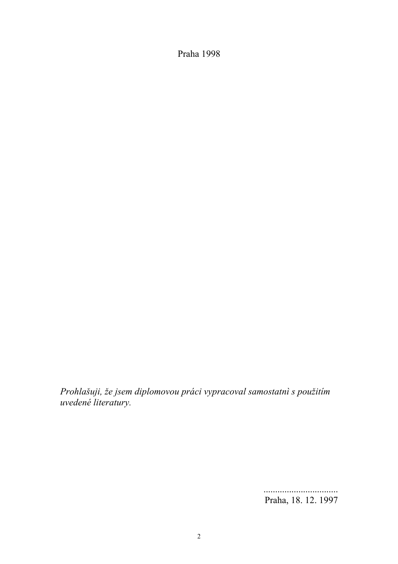Praha 1998

*Prohlašuji, že jsem diplomovou práci vypracoval samostatnì s použitím uvedené literatury.*

> ................................ Praha, 18. 12. 1997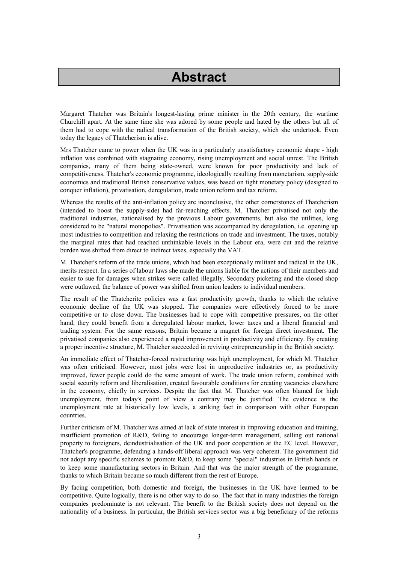## **Abstract**

Margaret Thatcher was Britain's longest-lasting prime minister in the 20th century, the wartime Churchill apart. At the same time she was adored by some people and hated by the others but all of them had to cope with the radical transformation of the British society, which she undertook. Even today the legacy of Thatcherism is alive.

Mrs Thatcher came to power when the UK was in a particularly unsatisfactory economic shape - high inflation was combined with stagnating economy, rising unemployment and social unrest. The British companies, many of them being state-owned, were known for poor productivity and lack of competitiveness. Thatcher's economic programme, ideologically resulting from monetarism, supply-side economics and traditional British conservative values, was based on tight monetary policy (designed to conquer inflation), privatisation, deregulation, trade union reform and tax reform.

Whereas the results of the anti-inflation policy are inconclusive, the other cornerstones of Thatcherism (intended to boost the supply-side) had far-reaching effects. M. Thatcher privatised not only the traditional industries, nationalised by the previous Labour governments, but also the utilities, long considered to be "natural monopolies". Privatisation was accompanied by deregulation, i.e. opening up most industries to competition and relaxing the restrictions on trade and investment. The taxes, notably the marginal rates that had reached unthinkable levels in the Labour era, were cut and the relative burden was shifted from direct to indirect taxes, especially the VAT.

M. Thatcher's reform of the trade unions, which had been exceptionally militant and radical in the UK, merits respect. In a series of labour laws she made the unions liable for the actions of their members and easier to sue for damages when strikes were called illegally. Secondary picketing and the closed shop were outlawed, the balance of power was shifted from union leaders to individual members.

The result of the Thatcherite policies was a fast productivity growth, thanks to which the relative economic decline of the UK was stopped. The companies were effectively forced to be more competitive or to close down. The businesses had to cope with competitive pressures, on the other hand, they could benefit from a deregulated labour market, lower taxes and a liberal financial and trading system. For the same reasons, Britain became a magnet for foreign direct investment. The privatised companies also experienced a rapid improvement in productivity and efficiency. By creating a proper incentive structure, M. Thatcher succeeded in reviving entrepreneurship in the British society.

An immediate effect of Thatcher-forced restructuring was high unemployment, for which M. Thatcher was often criticised. However, most jobs were lost in unproductive industries or, as productivity improved, fewer people could do the same amount of work. The trade union reform, combined with social security reform and liberalisation, created favourable conditions for creating vacancies elsewhere in the economy, chiefly in services. Despite the fact that M. Thatcher was often blamed for high unemployment, from today's point of view a contrary may be justified. The evidence is the unemployment rate at historically low levels, a striking fact in comparison with other European countries.

Further criticism of M. Thatcher was aimed at lack of state interest in improving education and training, insufficient promotion of R&D, failing to encourage longer-term management, selling out national property to foreigners, deindustrialisation of the UK and poor cooperation at the EC level. However, Thatcher's programme, defending a hands-off liberal approach was very coherent. The government did not adopt any specific schemes to promote R&D, to keep some "special" industries in British hands or to keep some manufacturing sectors in Britain. And that was the major strength of the programme, thanks to which Britain became so much different from the rest of Europe.

By facing competition, both domestic and foreign, the businesses in the UK have learned to be competitive. Quite logically, there is no other way to do so. The fact that in many industries the foreign companies predominate is not relevant. The benefit to the British society does not depend on the nationality of a business. In particular, the British services sector was a big beneficiary of the reforms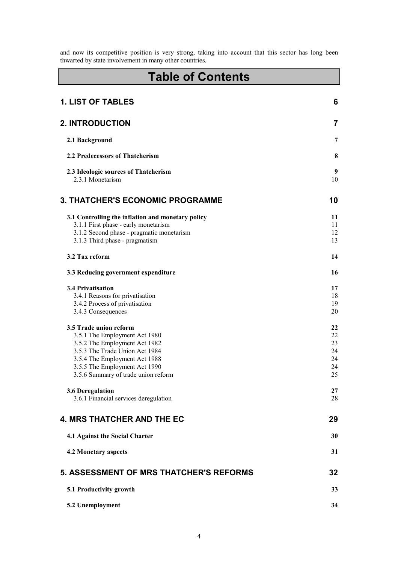and now its competitive position is very strong, taking into account that this sector has long been thwarted by state involvement in many other countries.

## **Table of Contents**

| <b>1. LIST OF TABLES</b>                                                                                                                                                                                                            | 6                                      |
|-------------------------------------------------------------------------------------------------------------------------------------------------------------------------------------------------------------------------------------|----------------------------------------|
| <b>2. INTRODUCTION</b>                                                                                                                                                                                                              | 7                                      |
| 2.1 Background                                                                                                                                                                                                                      | 7                                      |
| 2.2 Predecessors of Thatcherism                                                                                                                                                                                                     | 8                                      |
| 2.3 Ideologic sources of Thatcherism<br>2.3.1 Monetarism                                                                                                                                                                            | 9<br>10                                |
| <b>3. THATCHER'S ECONOMIC PROGRAMME</b>                                                                                                                                                                                             | 10                                     |
| 3.1 Controlling the inflation and monetary policy<br>3.1.1 First phase - early monetarism<br>3.1.2 Second phase - pragmatic monetarism<br>3.1.3 Third phase - pragmatism                                                            | 11<br>11<br>12<br>13                   |
| 3.2 Tax reform                                                                                                                                                                                                                      | 14                                     |
| 3.3 Reducing government expenditure                                                                                                                                                                                                 | 16                                     |
| <b>3.4 Privatisation</b><br>3.4.1 Reasons for privatisation<br>3.4.2 Process of privatisation<br>3.4.3 Consequences                                                                                                                 | 17<br>18<br>19<br>20                   |
| 3.5 Trade union reform<br>3.5.1 The Employment Act 1980<br>3.5.2 The Employment Act 1982<br>3.5.3 The Trade Union Act 1984<br>3.5.4 The Employment Act 1988<br>3.5.5 The Employment Act 1990<br>3.5.6 Summary of trade union reform | 22<br>22<br>23<br>24<br>24<br>24<br>25 |
| 3.6 Deregulation<br>3.6.1 Financial services deregulation                                                                                                                                                                           | 27<br>28                               |
| <b>4. MRS THATCHER AND THE EC</b>                                                                                                                                                                                                   | 29                                     |
| 4.1 Against the Social Charter                                                                                                                                                                                                      | 30                                     |
| <b>4.2 Monetary aspects</b>                                                                                                                                                                                                         | 31                                     |
| <b>5. ASSESSMENT OF MRS THATCHER'S REFORMS</b>                                                                                                                                                                                      | 32                                     |
| 5.1 Productivity growth                                                                                                                                                                                                             | 33                                     |
| 5.2 Unemployment                                                                                                                                                                                                                    | 34                                     |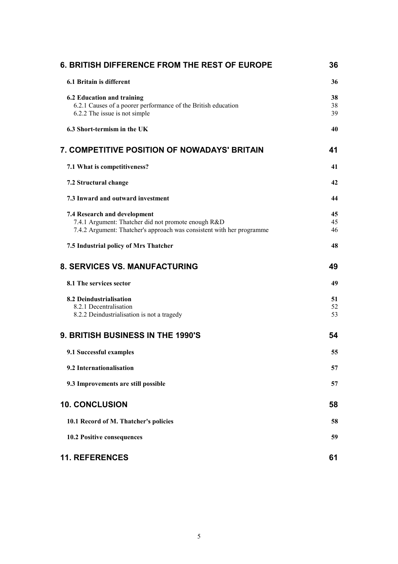| <b>6. BRITISH DIFFERENCE FROM THE REST OF EUROPE</b>                  | 36       |
|-----------------------------------------------------------------------|----------|
| 6.1 Britain is different                                              | 36       |
| <b>6.2 Education and training</b>                                     | 38       |
| 6.2.1 Causes of a poorer performance of the British education         | 38       |
| 6.2.2 The issue is not simple                                         | 39       |
| 6.3 Short-termism in the UK                                           | 40       |
| 7. COMPETITIVE POSITION OF NOWADAYS' BRITAIN                          | 41       |
| 7.1 What is competitiveness?                                          | 41       |
| 7.2 Structural change                                                 | 42       |
| 7.3 Inward and outward investment                                     | 44       |
| 7.4 Research and development                                          | 45       |
| 7.4.1 Argument: Thatcher did not promote enough R&D                   | 45<br>46 |
| 7.4.2 Argument: Thatcher's approach was consistent with her programme |          |
| 7.5 Industrial policy of Mrs Thatcher                                 | 48       |
| <b>8. SERVICES VS. MANUFACTURING</b>                                  | 49       |
| 8.1 The services sector                                               | 49       |
| 8.2 Deindustrialisation                                               | 51       |
| 8.2.1 Decentralisation                                                | 52       |
| 8.2.2 Deindustrialisation is not a tragedy                            | 53       |
| 9. BRITISH BUSINESS IN THE 1990'S                                     | 54       |
| 9.1 Successful examples                                               | 55       |
| 9.2 Internationalisation                                              | 57       |
| 9.3 Improvements are still possible                                   | 57       |
| <b>10. CONCLUSION</b>                                                 | 58       |
| 10.1 Record of M. Thatcher's policies                                 | 58       |
| <b>10.2 Positive consequences</b>                                     | 59       |
| <b>11. REFERENCES</b>                                                 | 61       |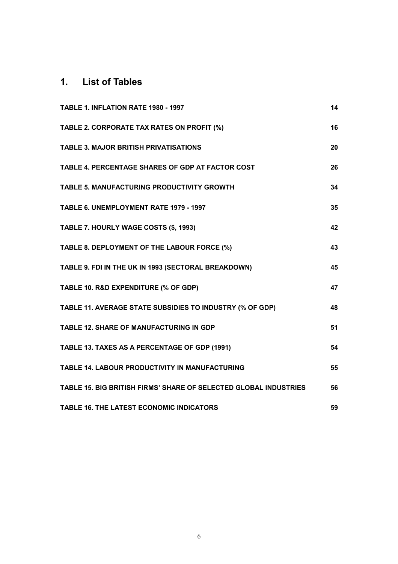## <span id="page-5-0"></span>**1. List of Tables**

| TABLE 1. INFLATION RATE 1980 - 1997                              | 14 |
|------------------------------------------------------------------|----|
| TABLE 2. CORPORATE TAX RATES ON PROFIT (%)                       | 16 |
| <b>TABLE 3. MAJOR BRITISH PRIVATISATIONS</b>                     | 20 |
| TABLE 4. PERCENTAGE SHARES OF GDP AT FACTOR COST                 | 26 |
| TABLE 5. MANUFACTURING PRODUCTIVITY GROWTH                       | 34 |
| TABLE 6. UNEMPLOYMENT RATE 1979 - 1997                           | 35 |
| TABLE 7. HOURLY WAGE COSTS (\$, 1993)                            | 42 |
| TABLE 8. DEPLOYMENT OF THE LABOUR FORCE (%)                      | 43 |
| TABLE 9. FDI IN THE UK IN 1993 (SECTORAL BREAKDOWN)              | 45 |
| TABLE 10. R&D EXPENDITURE (% OF GDP)                             | 47 |
| TABLE 11. AVERAGE STATE SUBSIDIES TO INDUSTRY (% OF GDP)         | 48 |
| <b>TABLE 12. SHARE OF MANUFACTURING IN GDP</b>                   | 51 |
| TABLE 13. TAXES AS A PERCENTAGE OF GDP (1991)                    | 54 |
| <b>TABLE 14. LABOUR PRODUCTIVITY IN MANUFACTURING</b>            | 55 |
| TABLE 15. BIG BRITISH FIRMS' SHARE OF SELECTED GLOBAL INDUSTRIES | 56 |
| <b>TABLE 16. THE LATEST ECONOMIC INDICATORS</b>                  | 59 |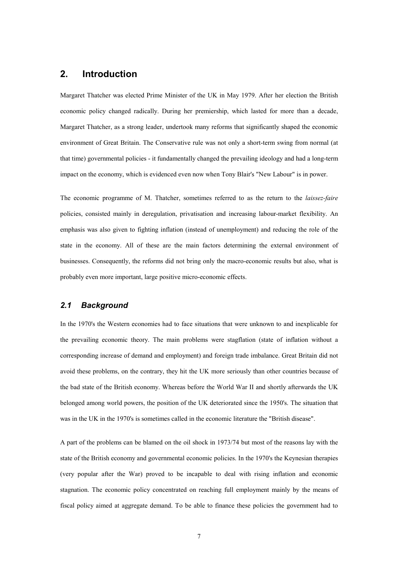## <span id="page-6-0"></span>**2. Introduction**

Margaret Thatcher was elected Prime Minister of the UK in May 1979. After her election the British economic policy changed radically. During her premiership, which lasted for more than a decade, Margaret Thatcher, as a strong leader, undertook many reforms that significantly shaped the economic environment of Great Britain. The Conservative rule was not only a short-term swing from normal (at that time) governmental policies - it fundamentally changed the prevailing ideology and had a long-term impact on the economy, which is evidenced even now when Tony Blair's "New Labour" is in power.

The economic programme of M. Thatcher, sometimes referred to as the return to the *laissez-faire* policies, consisted mainly in deregulation, privatisation and increasing labour-market flexibility. An emphasis was also given to fighting inflation (instead of unemployment) and reducing the role of the state in the economy. All of these are the main factors determining the external environment of businesses. Consequently, the reforms did not bring only the macro-economic results but also, what is probably even more important, large positive micro-economic effects.

## <span id="page-6-1"></span>*2.1 Background*

In the 1970's the Western economies had to face situations that were unknown to and inexplicable for the prevailing economic theory. The main problems were stagflation (state of inflation without a corresponding increase of demand and employment) and foreign trade imbalance. Great Britain did not avoid these problems, on the contrary, they hit the UK more seriously than other countries because of the bad state of the British economy. Whereas before the World War II and shortly afterwards the UK belonged among world powers, the position of the UK deteriorated since the 1950's. The situation that was in the UK in the 1970's is sometimes called in the economic literature the "British disease".

A part of the problems can be blamed on the oil shock in 1973/74 but most of the reasons lay with the state of the British economy and governmental economic policies. In the 1970's the Keynesian therapies (very popular after the War) proved to be incapable to deal with rising inflation and economic stagnation. The economic policy concentrated on reaching full employment mainly by the means of fiscal policy aimed at aggregate demand. To be able to finance these policies the government had to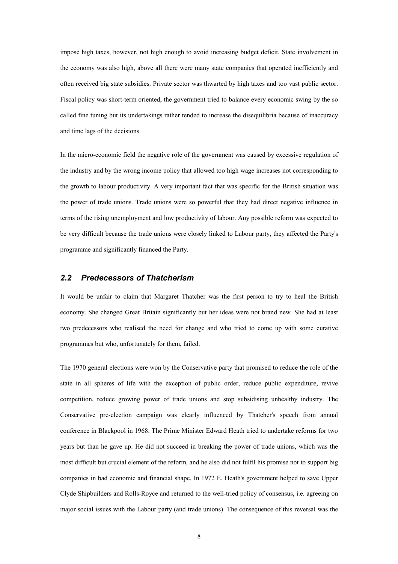impose high taxes, however, not high enough to avoid increasing budget deficit. State involvement in the economy was also high, above all there were many state companies that operated inefficiently and often received big state subsidies. Private sector was thwarted by high taxes and too vast public sector. Fiscal policy was short-term oriented, the government tried to balance every economic swing by the so called fine tuning but its undertakings rather tended to increase the disequilibria because of inaccuracy and time lags of the decisions.

In the micro-economic field the negative role of the government was caused by excessive regulation of the industry and by the wrong income policy that allowed too high wage increases not corresponding to the growth to labour productivity. A very important fact that was specific for the British situation was the power of trade unions. Trade unions were so powerful that they had direct negative influence in terms of the rising unemployment and low productivity of labour. Any possible reform was expected to be very difficult because the trade unions were closely linked to Labour party, they affected the Party's programme and significantly financed the Party.

## <span id="page-7-0"></span>*2.2 Predecessors of Thatcherism*

It would be unfair to claim that Margaret Thatcher was the first person to try to heal the British economy. She changed Great Britain significantly but her ideas were not brand new. She had at least two predecessors who realised the need for change and who tried to come up with some curative programmes but who, unfortunately for them, failed.

The 1970 general elections were won by the Conservative party that promised to reduce the role of the state in all spheres of life with the exception of public order, reduce public expenditure, revive competition, reduce growing power of trade unions and stop subsidising unhealthy industry. The Conservative pre-election campaign was clearly influenced by Thatcher's speech from annual conference in Blackpool in 1968. The Prime Minister Edward Heath tried to undertake reforms for two years but than he gave up. He did not succeed in breaking the power of trade unions, which was the most difficult but crucial element of the reform, and he also did not fulfil his promise not to support big companies in bad economic and financial shape. In 1972 E. Heath's government helped to save Upper Clyde Shipbuilders and Rolls-Royce and returned to the well-tried policy of consensus, i.e. agreeing on major social issues with the Labour party (and trade unions). The consequence of this reversal was the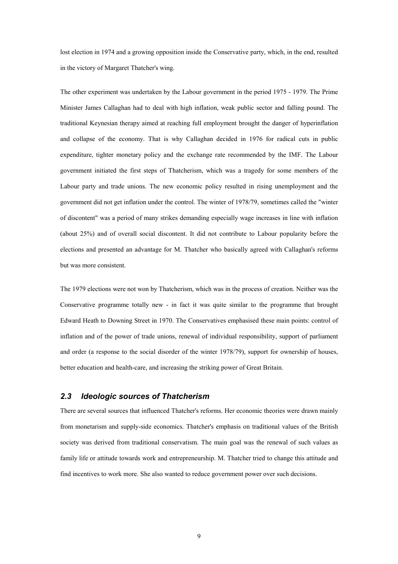lost election in 1974 and a growing opposition inside the Conservative party, which, in the end, resulted in the victory of Margaret Thatcher's wing.

The other experiment was undertaken by the Labour government in the period 1975 - 1979. The Prime Minister James Callaghan had to deal with high inflation, weak public sector and falling pound. The traditional Keynesian therapy aimed at reaching full employment brought the danger of hyperinflation and collapse of the economy. That is why Callaghan decided in 1976 for radical cuts in public expenditure, tighter monetary policy and the exchange rate recommended by the IMF. The Labour government initiated the first steps of Thatcherism, which was a tragedy for some members of the Labour party and trade unions. The new economic policy resulted in rising unemployment and the government did not get inflation under the control. The winter of 1978/79, sometimes called the "winter of discontent" was a period of many strikes demanding especially wage increases in line with inflation (about 25%) and of overall social discontent. It did not contribute to Labour popularity before the elections and presented an advantage for M. Thatcher who basically agreed with Callaghan's reforms but was more consistent.

The 1979 elections were not won by Thatcherism, which was in the process of creation. Neither was the Conservative programme totally new - in fact it was quite similar to the programme that brought Edward Heath to Downing Street in 1970. The Conservatives emphasised these main points: control of inflation and of the power of trade unions, renewal of individual responsibility, support of parliament and order (a response to the social disorder of the winter 1978/79), support for ownership of houses, better education and health-care, and increasing the striking power of Great Britain.

## <span id="page-8-0"></span>*2.3 Ideologic sources of Thatcherism*

There are several sources that influenced Thatcher's reforms. Her economic theories were drawn mainly from monetarism and supply-side economics. Thatcher's emphasis on traditional values of the British society was derived from traditional conservatism. The main goal was the renewal of such values as family life or attitude towards work and entrepreneurship. M. Thatcher tried to change this attitude and find incentives to work more. She also wanted to reduce government power over such decisions.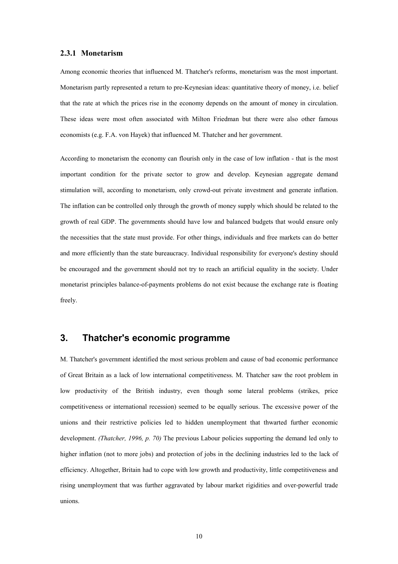#### <span id="page-9-0"></span>**2.3.1 Monetarism**

Among economic theories that influenced M. Thatcher's reforms, monetarism was the most important. Monetarism partly represented a return to pre-Keynesian ideas: quantitative theory of money, i.e. belief that the rate at which the prices rise in the economy depends on the amount of money in circulation. These ideas were most often associated with Milton Friedman but there were also other famous economists (e.g. F.A. von Hayek) that influenced M. Thatcher and her government.

According to monetarism the economy can flourish only in the case of low inflation - that is the most important condition for the private sector to grow and develop. Keynesian aggregate demand stimulation will, according to monetarism, only crowd-out private investment and generate inflation. The inflation can be controlled only through the growth of money supply which should be related to the growth of real GDP. The governments should have low and balanced budgets that would ensure only the necessities that the state must provide. For other things, individuals and free markets can do better and more efficiently than the state bureaucracy. Individual responsibility for everyone's destiny should be encouraged and the government should not try to reach an artificial equality in the society. Under monetarist principles balance-of-payments problems do not exist because the exchange rate is floating freely.

## <span id="page-9-1"></span>**3. Thatcher's economic programme**

M. Thatcher's government identified the most serious problem and cause of bad economic performance of Great Britain as a lack of low international competitiveness. M. Thatcher saw the root problem in low productivity of the British industry, even though some lateral problems (strikes, price competitiveness or international recession) seemed to be equally serious. The excessive power of the unions and their restrictive policies led to hidden unemployment that thwarted further economic development. *(Thatcher, 1996, p. 70)* The previous Labour policies supporting the demand led only to higher inflation (not to more jobs) and protection of jobs in the declining industries led to the lack of efficiency. Altogether, Britain had to cope with low growth and productivity, little competitiveness and rising unemployment that was further aggravated by labour market rigidities and over-powerful trade unions.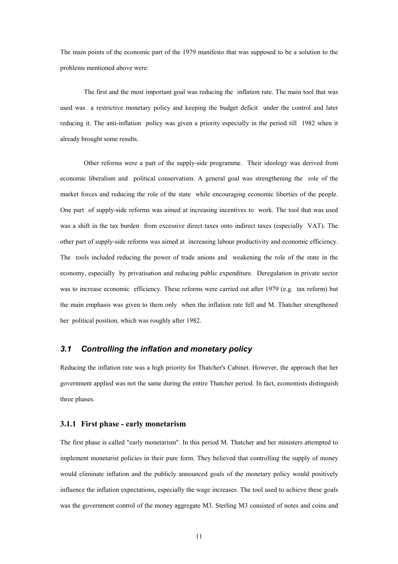The main points of the economic part of the 1979 manifesto that was supposed to be a solution to the problems mentioned above were:

The first and the most important goal was reducing the inflation rate. The main tool that was used was a restrictive monetary policy and keeping the budget deficit under the control and later reducing it. The anti-inflation policy was given a priority especially in the period till 1982 when it already brought some results.

Other reforms were a part of the supply-side programme. Their ideology was derived from economic liberalism and political conservatism. A general goal was strengthening the role of the market forces and reducing the role of the state while encouraging economic liberties of the people. One part of supply-side reforms was aimed at increasing incentives to work. The tool that was used was a shift in the tax burden from excessive direct taxes onto indirect taxes (especially VAT). The other part of supply-side reforms was aimed at increasing labour productivity and economic efficiency. The tools included reducing the power of trade unions and weakening the role of the state in the economy, especially by privatisation and reducing public expenditure. Deregulation in private sector was to increase economic efficiency. These reforms were carried out after 1979 (e.g. tax reform) but the main emphasis was given to them only when the inflation rate fell and M. Thatcher strengthened her political position, which was roughly after 1982.

## <span id="page-10-0"></span>*3.1 Controlling the inflation and monetary policy*

Reducing the inflation rate was a high priority for Thatcher's Cabinet. However, the approach that her government applied was not the same during the entire Thatcher period. In fact, economists distinguish three phases.

#### <span id="page-10-1"></span>**3.1.1 First phase - early monetarism**

The first phase is called "early monetarism". In this period M. Thatcher and her ministers attempted to implement monetarist policies in their pure form. They believed that controlling the supply of money would eliminate inflation and the publicly announced goals of the monetary policy would positively influence the inflation expectations, especially the wage increases. The tool used to achieve these goals was the government control of the money aggregate M3. Sterling M3 consisted of notes and coins and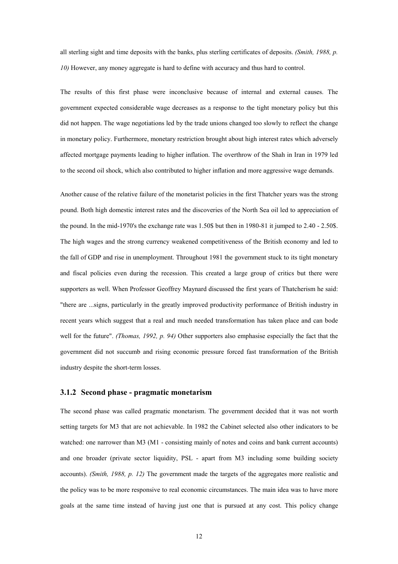all sterling sight and time deposits with the banks, plus sterling certificates of deposits. *(Smith, 1988, p. 10)* However, any money aggregate is hard to define with accuracy and thus hard to control.

The results of this first phase were inconclusive because of internal and external causes. The government expected considerable wage decreases as a response to the tight monetary policy but this did not happen. The wage negotiations led by the trade unions changed too slowly to reflect the change in monetary policy. Furthermore, monetary restriction brought about high interest rates which adversely affected mortgage payments leading to higher inflation. The overthrow of the Shah in Iran in 1979 led to the second oil shock, which also contributed to higher inflation and more aggressive wage demands.

Another cause of the relative failure of the monetarist policies in the first Thatcher years was the strong pound. Both high domestic interest rates and the discoveries of the North Sea oil led to appreciation of the pound. In the mid-1970's the exchange rate was 1.50\$ but then in 1980-81 it jumped to 2.40 - 2.50\$. The high wages and the strong currency weakened competitiveness of the British economy and led to the fall of GDP and rise in unemployment. Throughout 1981 the government stuck to its tight monetary and fiscal policies even during the recession. This created a large group of critics but there were supporters as well. When Professor Geoffrey Maynard discussed the first years of Thatcherism he said: "there are ...signs, particularly in the greatly improved productivity performance of British industry in recent years which suggest that a real and much needed transformation has taken place and can bode well for the future". *(Thomas, 1992, p. 94)* Other supporters also emphasise especially the fact that the government did not succumb and rising economic pressure forced fast transformation of the British industry despite the short-term losses.

#### <span id="page-11-0"></span>**3.1.2 Second phase - pragmatic monetarism**

The second phase was called pragmatic monetarism. The government decided that it was not worth setting targets for M3 that are not achievable. In 1982 the Cabinet selected also other indicators to be watched: one narrower than M3 (M1 - consisting mainly of notes and coins and bank current accounts) and one broader (private sector liquidity, PSL - apart from M3 including some building society accounts). *(Smith, 1988, p. 12)* The government made the targets of the aggregates more realistic and the policy was to be more responsive to real economic circumstances. The main idea was to have more goals at the same time instead of having just one that is pursued at any cost. This policy change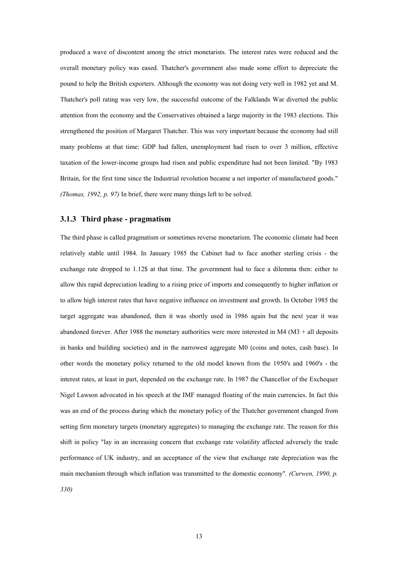produced a wave of discontent among the strict monetarists. The interest rates were reduced and the overall monetary policy was eased. Thatcher's government also made some effort to depreciate the pound to help the British exporters. Although the economy was not doing very well in 1982 yet and M. Thatcher's poll rating was very low, the successful outcome of the Falklands War diverted the public attention from the economy and the Conservatives obtained a large majority in the 1983 elections. This strengthened the position of Margaret Thatcher. This was very important because the economy had still many problems at that time: GDP had fallen, unemployment had risen to over 3 million, effective taxation of the lower-income groups had risen and public expenditure had not been limited. "By 1983 Britain, for the first time since the Industrial revolution became a net importer of manufactured goods." *(Thomas, 1992, p. 97)* In brief, there were many things left to be solved.

## <span id="page-12-0"></span>**3.1.3 Third phase - pragmatism**

The third phase is called pragmatism or sometimes reverse monetarism. The economic climate had been relatively stable until 1984. In January 1985 the Cabinet had to face another sterling crisis - the exchange rate dropped to 1.12\$ at that time. The government had to face a dilemma then: either to allow this rapid depreciation leading to a rising price of imports and consequently to higher inflation or to allow high interest rates that have negative influence on investment and growth. In October 1985 the target aggregate was abandoned, then it was shortly used in 1986 again but the next year it was abandoned forever. After 1988 the monetary authorities were more interested in M4 ( $M3 +$ all deposits in banks and building societies) and in the narrowest aggregate M0 (coins and notes, cash base). In other words the monetary policy returned to the old model known from the 1950's and 1960's - the interest rates, at least in part, depended on the exchange rate. In 1987 the Chancellor of the Exchequer Nigel Lawson advocated in his speech at the IMF managed floating of the main currencies. In fact this was an end of the process during which the monetary policy of the Thatcher government changed from setting firm monetary targets (monetary aggregates) to managing the exchange rate. The reason for this shift in policy "lay in an increasing concern that exchange rate volatility affected adversely the trade performance of UK industry, and an acceptance of the view that exchange rate depreciation was the main mechanism through which inflation was transmitted to the domestic economy"*. (Curwen, 1990, p. 330)*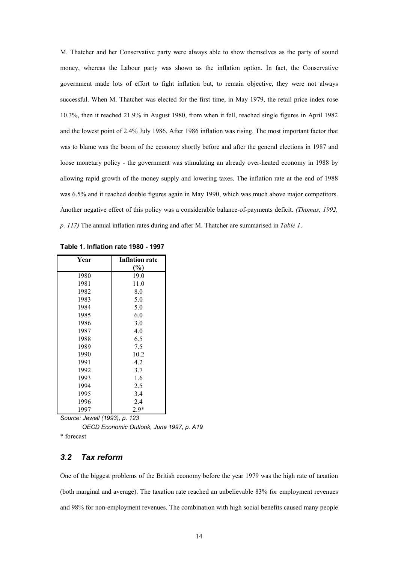M. Thatcher and her Conservative party were always able to show themselves as the party of sound money, whereas the Labour party was shown as the inflation option. In fact, the Conservative government made lots of effort to fight inflation but, to remain objective, they were not always successful. When M. Thatcher was elected for the first time, in May 1979, the retail price index rose 10.3%, then it reached 21.9% in August 1980, from when it fell, reached single figures in April 1982 and the lowest point of 2.4% July 1986. After 1986 inflation was rising. The most important factor that was to blame was the boom of the economy shortly before and after the general elections in 1987 and loose monetary policy - the government was stimulating an already over-heated economy in 1988 by allowing rapid growth of the money supply and lowering taxes. The inflation rate at the end of 1988 was 6.5% and it reached double figures again in May 1990, which was much above major competitors. Another negative effect of this policy was a considerable balance-of-payments deficit. *(Thomas, 1992, p. 117)* The annual inflation rates during and after M. Thatcher are summarised in *Table 1*.

| Year | <b>Inflation rate</b> |
|------|-----------------------|
|      | $\frac{6}{6}$         |
| 1980 | 19.0                  |
| 1981 | 11.0                  |
| 1982 | 8.0                   |
| 1983 | 5.0                   |
| 1984 | 5.0                   |
| 1985 | 6.0                   |
| 1986 | 3.0                   |
| 1987 | 4.0                   |
| 1988 | 6.5                   |
| 1989 | 7.5                   |
| 1990 | 10.2                  |
| 1991 | 4.2                   |
| 1992 | 3.7                   |
| 1993 | 1.6                   |
| 1994 | 2.5                   |
| 1995 | 3.4                   |
| 1996 | 2.4                   |
| 1997 | $2.9*$                |

<span id="page-13-1"></span>**Table 1. Inflation rate 1980 - 1997**

*Source: Jewell (1993), p. 123*

 *OECD Economic Outlook, June 1997, p. A19*

\* forecast

## <span id="page-13-0"></span>*3.2 Tax reform*

One of the biggest problems of the British economy before the year 1979 was the high rate of taxation (both marginal and average). The taxation rate reached an unbelievable 83% for employment revenues and 98% for non-employment revenues. The combination with high social benefits caused many people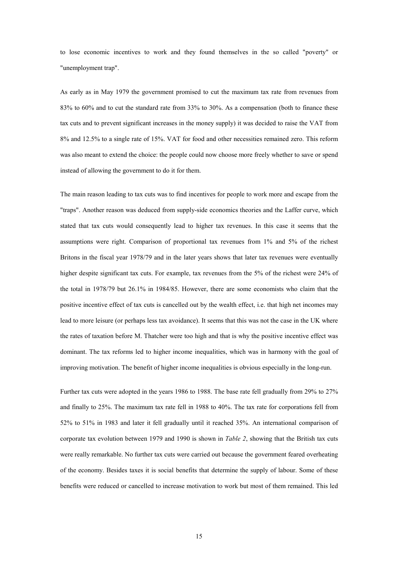to lose economic incentives to work and they found themselves in the so called "poverty" or "unemployment trap".

As early as in May 1979 the government promised to cut the maximum tax rate from revenues from 83% to 60% and to cut the standard rate from 33% to 30%. As a compensation (both to finance these tax cuts and to prevent significant increases in the money supply) it was decided to raise the VAT from 8% and 12.5% to a single rate of 15%. VAT for food and other necessities remained zero. This reform was also meant to extend the choice: the people could now choose more freely whether to save or spend instead of allowing the government to do it for them.

The main reason leading to tax cuts was to find incentives for people to work more and escape from the "traps". Another reason was deduced from supply-side economics theories and the Laffer curve, which stated that tax cuts would consequently lead to higher tax revenues. In this case it seems that the assumptions were right. Comparison of proportional tax revenues from 1% and 5% of the richest Britons in the fiscal year 1978/79 and in the later years shows that later tax revenues were eventually higher despite significant tax cuts. For example, tax revenues from the 5% of the richest were 24% of the total in 1978/79 but 26.1% in 1984/85. However, there are some economists who claim that the positive incentive effect of tax cuts is cancelled out by the wealth effect, i.e. that high net incomes may lead to more leisure (or perhaps less tax avoidance). It seems that this was not the case in the UK where the rates of taxation before M. Thatcher were too high and that is why the positive incentive effect was dominant. The tax reforms led to higher income inequalities, which was in harmony with the goal of improving motivation. The benefit of higher income inequalities is obvious especially in the long-run.

Further tax cuts were adopted in the years 1986 to 1988. The base rate fell gradually from 29% to 27% and finally to 25%. The maximum tax rate fell in 1988 to 40%. The tax rate for corporations fell from 52% to 51% in 1983 and later it fell gradually until it reached 35%. An international comparison of corporate tax evolution between 1979 and 1990 is shown in *Table 2*, showing that the British tax cuts were really remarkable. No further tax cuts were carried out because the government feared overheating of the economy. Besides taxes it is social benefits that determine the supply of labour. Some of these benefits were reduced or cancelled to increase motivation to work but most of them remained. This led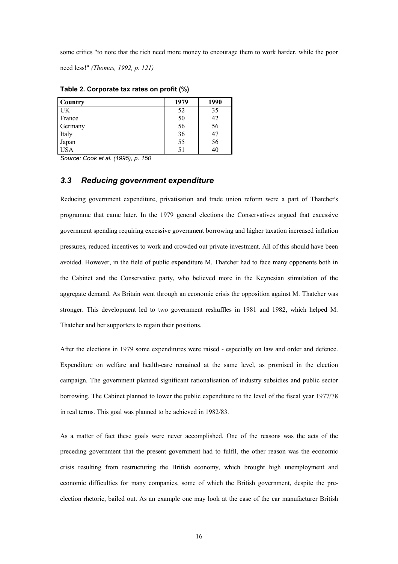some critics "to note that the rich need more money to encourage them to work harder, while the poor need less!" *(Thomas, 1992, p. 121)*

| <b>Country</b> | 1979 | 1990 |
|----------------|------|------|
| <b>UK</b>      | 52   | 35   |
| France         | 50   | 42   |
| Germany        | 56   | 56   |
| Italy          | 36   | 47   |
| Japan          | 55   | 56   |
| <b>USA</b>     |      | 40   |

<span id="page-15-1"></span>**Table 2. Corporate tax rates on profit (%)**

*Source: Cook et al. (1995), p. 150*

## <span id="page-15-0"></span>*3.3 Reducing government expenditure*

Reducing government expenditure, privatisation and trade union reform were a part of Thatcher's programme that came later. In the 1979 general elections the Conservatives argued that excessive government spending requiring excessive government borrowing and higher taxation increased inflation pressures, reduced incentives to work and crowded out private investment. All of this should have been avoided. However, in the field of public expenditure M. Thatcher had to face many opponents both in the Cabinet and the Conservative party, who believed more in the Keynesian stimulation of the aggregate demand. As Britain went through an economic crisis the opposition against M. Thatcher was stronger. This development led to two government reshuffles in 1981 and 1982, which helped M. Thatcher and her supporters to regain their positions.

After the elections in 1979 some expenditures were raised - especially on law and order and defence. Expenditure on welfare and health-care remained at the same level, as promised in the election campaign. The government planned significant rationalisation of industry subsidies and public sector borrowing. The Cabinet planned to lower the public expenditure to the level of the fiscal year 1977/78 in real terms. This goal was planned to be achieved in 1982/83.

As a matter of fact these goals were never accomplished. One of the reasons was the acts of the preceding government that the present government had to fulfil, the other reason was the economic crisis resulting from restructuring the British economy, which brought high unemployment and economic difficulties for many companies, some of which the British government, despite the preelection rhetoric, bailed out. As an example one may look at the case of the car manufacturer British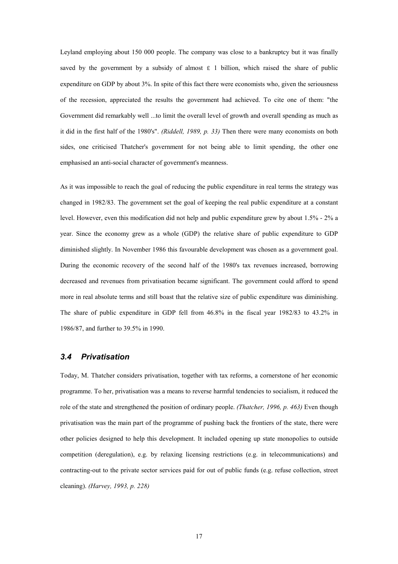Leyland employing about 150 000 people. The company was close to a bankruptcy but it was finally saved by the government by a subsidy of almost  $\epsilon$  1 billion, which raised the share of public expenditure on GDP by about 3%. In spite of this fact there were economists who, given the seriousness of the recession, appreciated the results the government had achieved. To cite one of them: "the Government did remarkably well ...to limit the overall level of growth and overall spending as much as it did in the first half of the 1980's". *(Riddell, 1989, p. 33)* Then there were many economists on both sides, one criticised Thatcher's government for not being able to limit spending, the other one emphasised an anti-social character of government's meanness.

As it was impossible to reach the goal of reducing the public expenditure in real terms the strategy was changed in 1982/83. The government set the goal of keeping the real public expenditure at a constant level. However, even this modification did not help and public expenditure grew by about 1.5% - 2% a year. Since the economy grew as a whole (GDP) the relative share of public expenditure to GDP diminished slightly. In November 1986 this favourable development was chosen as a government goal. During the economic recovery of the second half of the 1980's tax revenues increased, borrowing decreased and revenues from privatisation became significant. The government could afford to spend more in real absolute terms and still boast that the relative size of public expenditure was diminishing. The share of public expenditure in GDP fell from 46.8% in the fiscal year 1982/83 to 43.2% in 1986/87, and further to 39.5% in 1990.

## <span id="page-16-0"></span>*3.4 Privatisation*

Today, M. Thatcher considers privatisation, together with tax reforms, a cornerstone of her economic programme. To her, privatisation was a means to reverse harmful tendencies to socialism, it reduced the role of the state and strengthened the position of ordinary people. *(Thatcher, 1996, p. 463)* Even though privatisation was the main part of the programme of pushing back the frontiers of the state, there were other policies designed to help this development. It included opening up state monopolies to outside competition (deregulation), e.g. by relaxing licensing restrictions (e.g. in telecommunications) and contracting-out to the private sector services paid for out of public funds (e.g. refuse collection, street cleaning). *(Harvey, 1993, p. 228)*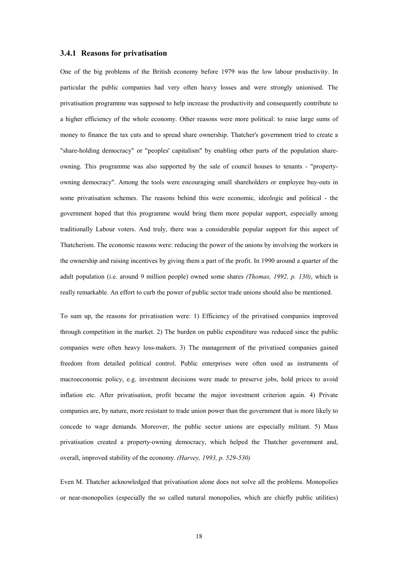## <span id="page-17-0"></span>**3.4.1 Reasons for privatisation**

One of the big problems of the British economy before 1979 was the low labour productivity. In particular the public companies had very often heavy losses and were strongly unionised. The privatisation programme was supposed to help increase the productivity and consequently contribute to a higher efficiency of the whole economy. Other reasons were more political: to raise large sums of money to finance the tax cuts and to spread share ownership. Thatcher's government tried to create a "share-holding democracy" or "peoples' capitalism" by enabling other parts of the population shareowning. This programme was also supported by the sale of council houses to tenants - "propertyowning democracy". Among the tools were encouraging small shareholders or employee buy-outs in some privatisation schemes. The reasons behind this were economic, ideologic and political - the government hoped that this programme would bring them more popular support, especially among traditionally Labour voters. And truly, there was a considerable popular support for this aspect of Thatcherism. The economic reasons were: reducing the power of the unions by involving the workers in the ownership and raising incentives by giving them a part of the profit. In 1990 around a quarter of the adult population (i.e. around 9 million people) owned some shares *(Thomas, 1992, p. 130)*, which is really remarkable. An effort to curb the power of public sector trade unions should also be mentioned.

To sum up, the reasons for privatisation were: 1) Efficiency of the privatised companies improved through competition in the market. 2) The burden on public expenditure was reduced since the public companies were often heavy loss-makers. 3) The management of the privatised companies gained freedom from detailed political control. Public enterprises were often used as instruments of macroeconomic policy, e.g. investment decisions were made to preserve jobs, hold prices to avoid inflation etc. After privatisation, profit became the major investment criterion again. 4) Private companies are, by nature, more resistant to trade union power than the government that is more likely to concede to wage demands. Moreover, the public sector unions are especially militant. 5) Mass privatisation created a property-owning democracy, which helped the Thatcher government and, overall, improved stability of the economy. *(Harvey, 1993, p. 529-530)*

Even M. Thatcher acknowledged that privatisation alone does not solve all the problems. Monopolies or near-monopolies (especially the so called natural monopolies, which are chiefly public utilities)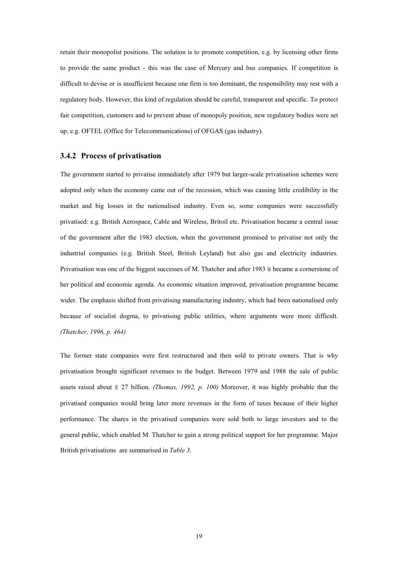retain their monopolist positions. The solution is to promote competition, e.g. by licensing other firms to provide the same product - this was the case of Mercury and bus companies. If competition is difficult to devise or is insufficient because one firm is too dominant, the responsibility may rest with a regulatory body. However, this kind of regulation should be careful, transparent and specific. To protect fair competition, customers and to prevent abuse of monopoly position, new regulatory bodies were set up, e.g. OFTEL (Office for Telecommunications) of OFGAS (gas industry).

#### <span id="page-18-0"></span>**3.4.2 Process of privatisation**

The government started to privatise immediately after 1979 but larger-scale privatisation schemes were adopted only when the economy came out of the recession, which was causing little credibility in the market and big losses in the nationalised industry. Even so, some companies were successfully privatised: e.g. British Aerospace, Cable and Wireless, Britoil etc. Privatisation became a central issue of the government after the 1983 election, when the government promised to privatise not only the industrial companies (e.g. British Steel, British Leyland) but also gas and electricity industries. Privatisation was one of the biggest successes of M. Thatcher and after 1983 it became a cornerstone of her political and economic agenda. As economic situation improved, privatisation programme became wider. The emphasis shifted from privatising manufacturing industry, which had been nationalised only because of socialist dogma, to privatising public utilities, where arguments were more difficult. *(Thatcher, 1996, p. 464)*

The former state companies were first restructured and then sold to private owners. That is why privatisation brought significant revenues to the budget. Between 1979 and 1988 the sale of public assets raised about  $\epsilon$  27 billion. *(Thomas, 1992, p. 100)* Moreover, it was highly probable that the privatised companies would bring later more revenues in the form of taxes because of their higher performance. The shares in the privatised companies were sold both to large investors and to the general public, which enabled M. Thatcher to gain a strong political support for her programme. Major British privatisations are summarised in *Table 3*.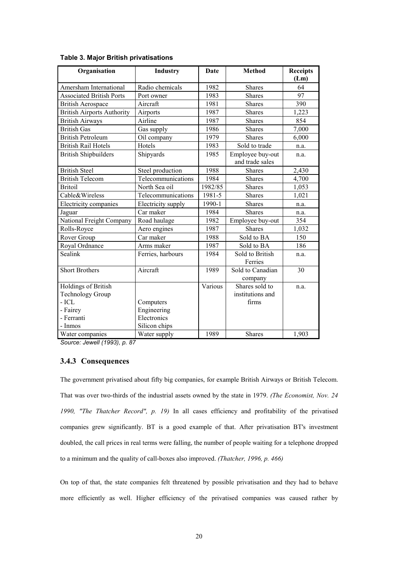| Organisation                      | Industry           | <b>Date</b> | <b>Method</b>                       | <b>Receipts</b><br>(Lm) |
|-----------------------------------|--------------------|-------------|-------------------------------------|-------------------------|
| Amersham International            | Radio chemicals    | 1982        | <b>Shares</b>                       | 64                      |
| <b>Associated British Ports</b>   | Port owner         | 1983        | <b>Shares</b>                       | 97                      |
| <b>British Aerospace</b>          | Aircraft           | 1981        | <b>Shares</b>                       | 390                     |
| <b>British Airports Authority</b> | Airports           | 1987        | <b>Shares</b>                       | 1,223                   |
| <b>British Airways</b>            | Airline            | 1987        | <b>Shares</b>                       | 854                     |
| <b>British Gas</b>                | Gas supply         | 1986        | Shares                              | 7,000                   |
| <b>British Petroleum</b>          | Oil company        | 1979        | <b>Shares</b>                       | 6,000                   |
| <b>British Rail Hotels</b>        | Hotels             | 1983        | Sold to trade                       | n.a.                    |
| <b>British Shipbuilders</b>       | Shipyards          | 1985        | Employee buy-out<br>and trade sales | n.a.                    |
| <b>British Steel</b>              | Steel production   | 1988        | <b>Shares</b>                       | 2,430                   |
| <b>British Telecom</b>            | Telecommunications | 1984        | <b>Shares</b>                       | 4,700                   |
| <b>Britoil</b>                    | North Sea oil      | 1982/85     | <b>Shares</b>                       | 1,053                   |
| Cable&Wireless                    | Telecommunications | 1981-5      | Shares                              | 1,021                   |
| Electricity companies             | Electricity supply | 1990-1      | Shares                              | n.a.                    |
| Jaguar                            | Car maker          | 1984        | <b>Shares</b>                       | n.a.                    |
| National Freight Company          | Road haulage       | 1982        | Employee buy-out                    | 354                     |
| Rolls-Royce                       | Aero engines       | 1987        | <b>Shares</b>                       | 1,032                   |
| Rover Group                       | Car maker          | 1988        | Sold to BA                          | 150                     |
| Royal Ordnance                    | Arms maker         | 1987        | Sold to BA                          | 186                     |
| Sealink                           | Ferries, harbours  | 1984        | Sold to British<br>Ferries          | n.a.                    |
| <b>Short Brothers</b>             | Aircraft           | 1989        | Sold to Canadian<br>company         | 30                      |
| Holdings of British               |                    | Various     | Shares sold to                      | n.a.                    |
| <b>Technology Group</b>           |                    |             | institutions and                    |                         |
| $-ICL$                            | Computers          |             | firms                               |                         |
| - Fairey                          | Engineering        |             |                                     |                         |
| - Ferranti                        | Electronics        |             |                                     |                         |
| - Inmos                           | Silicon chips      |             |                                     |                         |
| Water companies                   | Water supply       | 1989        | Shares                              | 1,903                   |

#### <span id="page-19-1"></span>**Table 3. Major British privatisations**

*Source: Jewell (1993), p. 87*

## <span id="page-19-0"></span>**3.4.3 Consequences**

The government privatised about fifty big companies, for example British Airways or British Telecom. That was over two-thirds of the industrial assets owned by the state in 1979. *(The Economist, Nov. 24 1990, "The Thatcher Record", p. 19)* In all cases efficiency and profitability of the privatised companies grew significantly. BT is a good example of that. After privatisation BT's investment doubled, the call prices in real terms were falling, the number of people waiting for a telephone dropped to a minimum and the quality of call-boxes also improved. *(Thatcher, 1996, p. 466)*

On top of that, the state companies felt threatened by possible privatisation and they had to behave more efficiently as well. Higher efficiency of the privatised companies was caused rather by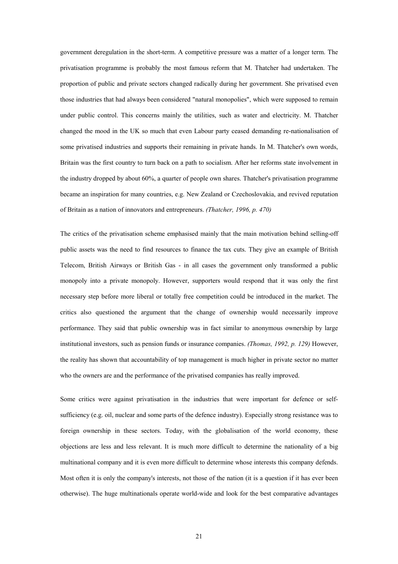government deregulation in the short-term. A competitive pressure was a matter of a longer term. The privatisation programme is probably the most famous reform that M. Thatcher had undertaken. The proportion of public and private sectors changed radically during her government. She privatised even those industries that had always been considered "natural monopolies", which were supposed to remain under public control. This concerns mainly the utilities, such as water and electricity. M. Thatcher changed the mood in the UK so much that even Labour party ceased demanding re-nationalisation of some privatised industries and supports their remaining in private hands. In M. Thatcher's own words, Britain was the first country to turn back on a path to socialism. After her reforms state involvement in the industry dropped by about 60%, a quarter of people own shares. Thatcher's privatisation programme became an inspiration for many countries, e.g. New Zealand or Czechoslovakia, and revived reputation of Britain as a nation of innovators and entrepreneurs. *(Thatcher, 1996, p. 470)*

The critics of the privatisation scheme emphasised mainly that the main motivation behind selling-off public assets was the need to find resources to finance the tax cuts. They give an example of British Telecom, British Airways or British Gas - in all cases the government only transformed a public monopoly into a private monopoly. However, supporters would respond that it was only the first necessary step before more liberal or totally free competition could be introduced in the market. The critics also questioned the argument that the change of ownership would necessarily improve performance. They said that public ownership was in fact similar to anonymous ownership by large institutional investors, such as pension funds or insurance companies. *(Thomas, 1992, p. 129)* However, the reality has shown that accountability of top management is much higher in private sector no matter who the owners are and the performance of the privatised companies has really improved.

Some critics were against privatisation in the industries that were important for defence or selfsufficiency (e.g. oil, nuclear and some parts of the defence industry). Especially strong resistance was to foreign ownership in these sectors. Today, with the globalisation of the world economy, these objections are less and less relevant. It is much more difficult to determine the nationality of a big multinational company and it is even more difficult to determine whose interests this company defends. Most often it is only the company's interests, not those of the nation (it is a question if it has ever been otherwise). The huge multinationals operate world-wide and look for the best comparative advantages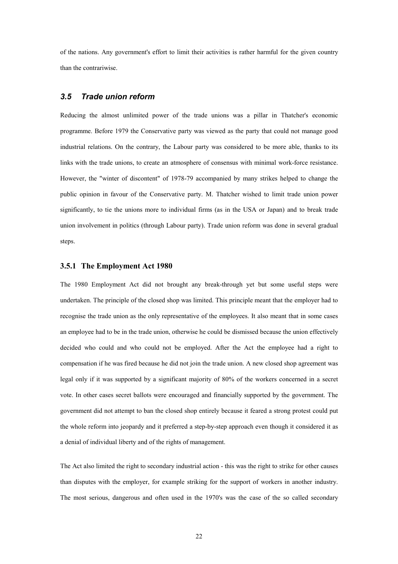of the nations. Any government's effort to limit their activities is rather harmful for the given country than the contrariwise.

## <span id="page-21-0"></span>*3.5 Trade union reform*

Reducing the almost unlimited power of the trade unions was a pillar in Thatcher's economic programme. Before 1979 the Conservative party was viewed as the party that could not manage good industrial relations. On the contrary, the Labour party was considered to be more able, thanks to its links with the trade unions, to create an atmosphere of consensus with minimal work-force resistance. However, the "winter of discontent" of 1978-79 accompanied by many strikes helped to change the public opinion in favour of the Conservative party. M. Thatcher wished to limit trade union power significantly, to tie the unions more to individual firms (as in the USA or Japan) and to break trade union involvement in politics (through Labour party). Trade union reform was done in several gradual steps.

#### <span id="page-21-1"></span>**3.5.1 The Employment Act 1980**

The 1980 Employment Act did not brought any break-through yet but some useful steps were undertaken. The principle of the closed shop was limited. This principle meant that the employer had to recognise the trade union as the only representative of the employees. It also meant that in some cases an employee had to be in the trade union, otherwise he could be dismissed because the union effectively decided who could and who could not be employed. After the Act the employee had a right to compensation if he was fired because he did not join the trade union. A new closed shop agreement was legal only if it was supported by a significant majority of 80% of the workers concerned in a secret vote. In other cases secret ballots were encouraged and financially supported by the government. The government did not attempt to ban the closed shop entirely because it feared a strong protest could put the whole reform into jeopardy and it preferred a step-by-step approach even though it considered it as a denial of individual liberty and of the rights of management.

The Act also limited the right to secondary industrial action - this was the right to strike for other causes than disputes with the employer, for example striking for the support of workers in another industry. The most serious, dangerous and often used in the 1970's was the case of the so called secondary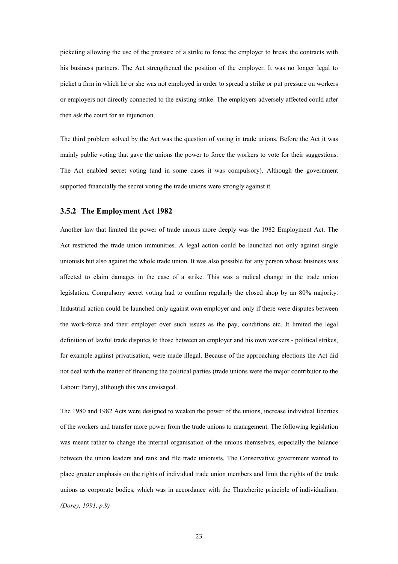picketing allowing the use of the pressure of a strike to force the employer to break the contracts with his business partners. The Act strengthened the position of the employer. It was no longer legal to picket a firm in which he or she was not employed in order to spread a strike or put pressure on workers or employers not directly connected to the existing strike. The employers adversely affected could after then ask the court for an injunction.

The third problem solved by the Act was the question of voting in trade unions. Before the Act it was mainly public voting that gave the unions the power to force the workers to vote for their suggestions. The Act enabled secret voting (and in some cases it was compulsory). Although the government supported financially the secret voting the trade unions were strongly against it.

### <span id="page-22-0"></span>**3.5.2 The Employment Act 1982**

Another law that limited the power of trade unions more deeply was the 1982 Employment Act. The Act restricted the trade union immunities. A legal action could be launched not only against single unionists but also against the whole trade union. It was also possible for any person whose business was affected to claim damages in the case of a strike. This was a radical change in the trade union legislation. Compulsory secret voting had to confirm regularly the closed shop by an 80% majority. Industrial action could be launched only against own employer and only if there were disputes between the work-force and their employer over such issues as the pay, conditions etc. It limited the legal definition of lawful trade disputes to those between an employer and his own workers - political strikes, for example against privatisation, were made illegal. Because of the approaching elections the Act did not deal with the matter of financing the political parties (trade unions were the major contributor to the Labour Party), although this was envisaged.

The 1980 and 1982 Acts were designed to weaken the power of the unions, increase individual liberties of the workers and transfer more power from the trade unions to management. The following legislation was meant rather to change the internal organisation of the unions themselves, especially the balance between the union leaders and rank and file trade unionists. The Conservative government wanted to place greater emphasis on the rights of individual trade union members and limit the rights of the trade unions as corporate bodies, which was in accordance with the Thatcherite principle of individualism. *(Dorey, 1991, p.9)*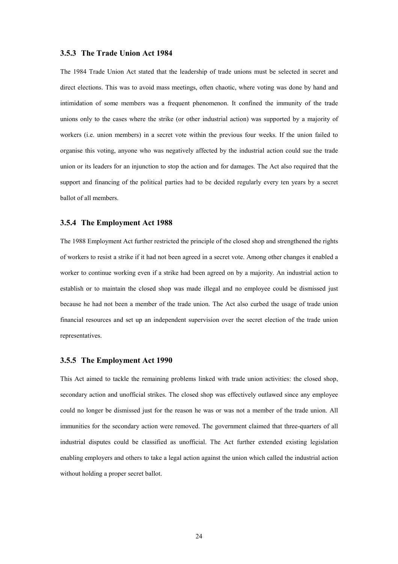## <span id="page-23-0"></span>**3.5.3 The Trade Union Act 1984**

The 1984 Trade Union Act stated that the leadership of trade unions must be selected in secret and direct elections. This was to avoid mass meetings, often chaotic, where voting was done by hand and intimidation of some members was a frequent phenomenon. It confined the immunity of the trade unions only to the cases where the strike (or other industrial action) was supported by a majority of workers (i.e. union members) in a secret vote within the previous four weeks. If the union failed to organise this voting, anyone who was negatively affected by the industrial action could sue the trade union or its leaders for an injunction to stop the action and for damages. The Act also required that the support and financing of the political parties had to be decided regularly every ten years by a secret ballot of all members.

## <span id="page-23-1"></span>**3.5.4 The Employment Act 1988**

The 1988 Employment Act further restricted the principle of the closed shop and strengthened the rights of workers to resist a strike if it had not been agreed in a secret vote. Among other changes it enabled a worker to continue working even if a strike had been agreed on by a majority. An industrial action to establish or to maintain the closed shop was made illegal and no employee could be dismissed just because he had not been a member of the trade union. The Act also curbed the usage of trade union financial resources and set up an independent supervision over the secret election of the trade union representatives.

#### <span id="page-23-2"></span>**3.5.5 The Employment Act 1990**

This Act aimed to tackle the remaining problems linked with trade union activities: the closed shop, secondary action and unofficial strikes. The closed shop was effectively outlawed since any employee could no longer be dismissed just for the reason he was or was not a member of the trade union. All immunities for the secondary action were removed. The government claimed that three-quarters of all industrial disputes could be classified as unofficial. The Act further extended existing legislation enabling employers and others to take a legal action against the union which called the industrial action without holding a proper secret ballot.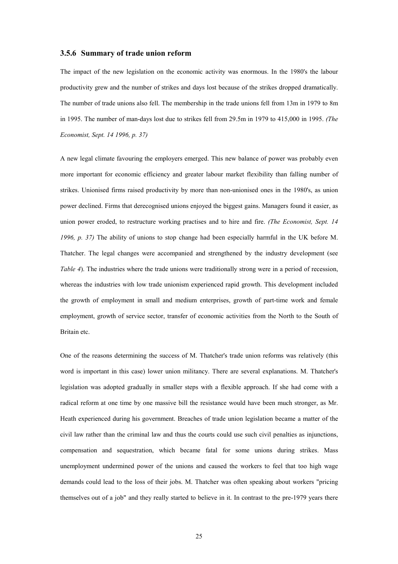## <span id="page-24-0"></span>**3.5.6 Summary of trade union reform**

The impact of the new legislation on the economic activity was enormous. In the 1980's the labour productivity grew and the number of strikes and days lost because of the strikes dropped dramatically. The number of trade unions also fell. The membership in the trade unions fell from 13m in 1979 to 8m in 1995. The number of man-days lost due to strikes fell from 29.5m in 1979 to 415,000 in 1995. *(The Economist, Sept. 14 1996, p. 37)*

A new legal climate favouring the employers emerged. This new balance of power was probably even more important for economic efficiency and greater labour market flexibility than falling number of strikes. Unionised firms raised productivity by more than non-unionised ones in the 1980's, as union power declined. Firms that derecognised unions enjoyed the biggest gains. Managers found it easier, as union power eroded, to restructure working practises and to hire and fire. *(The Economist, Sept. 14 1996, p. 37)* The ability of unions to stop change had been especially harmful in the UK before M. Thatcher. The legal changes were accompanied and strengthened by the industry development (see *Table 4*). The industries where the trade unions were traditionally strong were in a period of recession, whereas the industries with low trade unionism experienced rapid growth. This development included the growth of employment in small and medium enterprises, growth of part-time work and female employment, growth of service sector, transfer of economic activities from the North to the South of Britain etc.

One of the reasons determining the success of M. Thatcher's trade union reforms was relatively (this word is important in this case) lower union militancy. There are several explanations. M. Thatcher's legislation was adopted gradually in smaller steps with a flexible approach. If she had come with a radical reform at one time by one massive bill the resistance would have been much stronger, as Mr. Heath experienced during his government. Breaches of trade union legislation became a matter of the civil law rather than the criminal law and thus the courts could use such civil penalties as injunctions, compensation and sequestration, which became fatal for some unions during strikes. Mass unemployment undermined power of the unions and caused the workers to feel that too high wage demands could lead to the loss of their jobs. M. Thatcher was often speaking about workers "pricing themselves out of a job" and they really started to believe in it. In contrast to the pre-1979 years there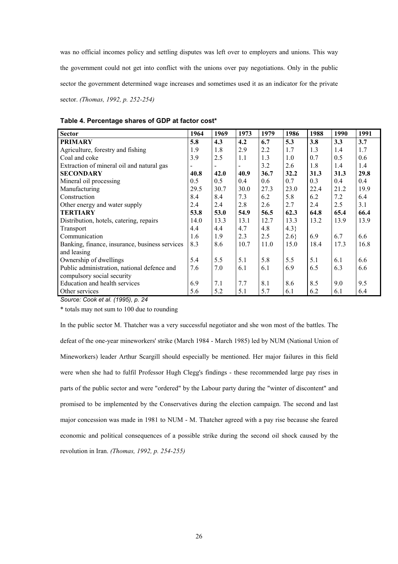was no official incomes policy and settling disputes was left over to employers and unions. This way the government could not get into conflict with the unions over pay negotiations. Only in the public sector the government determined wage increases and sometimes used it as an indicator for the private sector. *(Thomas, 1992, p. 252-254)*

| <b>Sector</b>                                  | 1964 | 1969 | 1973 | 1979 | 1986 | 1988 | 1990 | 1991 |
|------------------------------------------------|------|------|------|------|------|------|------|------|
| <b>PRIMARY</b>                                 | 5.8  | 4.3  | 4.2  | 6.7  | 5.3  | 3.8  | 3.3  | 3.7  |
| Agriculture, forestry and fishing              | 1.9  | 1.8  | 2.9  | 2.2  | 1.7  | 1.3  | 1.4  | 1.7  |
| Coal and coke                                  | 3.9  | 2.5  | 1.1  | 1.3  | 1.0  | 0.7  | 0.5  | 0.6  |
| Extraction of mineral oil and natural gas      |      |      |      | 3.2  | 2.6  | 1.8  | 1.4  | 1.4  |
| <b>SECONDARY</b>                               | 40.8 | 42.0 | 40.9 | 36.7 | 32.2 | 31.3 | 31.3 | 29.8 |
| Mineral oil processing                         | 0.5  | 0.5  | 0.4  | 0.6  | 0.7  | 0.3  | 0.4  | 0.4  |
| Manufacturing                                  | 29.5 | 30.7 | 30.0 | 27.3 | 23.0 | 22.4 | 21.2 | 19.9 |
| Construction                                   | 8.4  | 8.4  | 7.3  | 6.2  | 5.8  | 6.2  | 7.2  | 6.4  |
| Other energy and water supply                  | 2.4  | 2.4  | 2.8  | 2.6  | 2.7  | 2.4  | 2.5  | 3.1  |
| <b>TERTIARY</b>                                | 53.8 | 53.0 | 54.9 | 56.5 | 62.3 | 64.8 | 65.4 | 66.4 |
| Distribution, hotels, catering, repairs        | 14.0 | 13.3 | 13.1 | 12.7 | 13.3 | 13.2 | 13.9 | 13.9 |
| Transport                                      | 4.4  | 4.4  | 4.7  | 4.8  | 4.3  |      |      |      |
| Communication                                  | 1.6  | 1.9  | 2.3  | 2.5  | 2.6  | 6.9  | 6.7  | 6.6  |
| Banking, finance, insurance, business services | 8.3  | 8.6  | 10.7 | 11.0 | 15.0 | 18.4 | 17.3 | 16.8 |
| and leasing                                    |      |      |      |      |      |      |      |      |
| Ownership of dwellings                         | 5.4  | 5.5  | 5.1  | 5.8  | 5.5  | 5.1  | 6.1  | 6.6  |
| Public administration, national defence and    | 7.6  | 7.0  | 6.1  | 6.1  | 6.9  | 6.5  | 6.3  | 6.6  |
| compulsory social security                     |      |      |      |      |      |      |      |      |
| Education and health services                  | 6.9  | 7.1  | 7.7  | 8.1  | 8.6  | 8.5  | 9.0  | 9.5  |
| Other services                                 | 5.6  | 5.2  | 5.1  | 5.7  | 6.1  | 6.2  | 6.1  | 6.4  |

## <span id="page-25-0"></span>**Table 4. Percentage shares of GDP at factor cost\***

*Source: Cook et al. (1995), p. 24*

\* totals may not sum to 100 due to rounding

In the public sector M. Thatcher was a very successful negotiator and she won most of the battles. The defeat of the one-year mineworkers' strike (March 1984 - March 1985) led by NUM (National Union of Mineworkers) leader Arthur Scargill should especially be mentioned. Her major failures in this field were when she had to fulfil Professor Hugh Clegg's findings - these recommended large pay rises in parts of the public sector and were "ordered" by the Labour party during the "winter of discontent" and promised to be implemented by the Conservatives during the election campaign. The second and last major concession was made in 1981 to NUM - M. Thatcher agreed with a pay rise because she feared economic and political consequences of a possible strike during the second oil shock caused by the revolution in Iran. *(Thomas, 1992, p. 254-255)*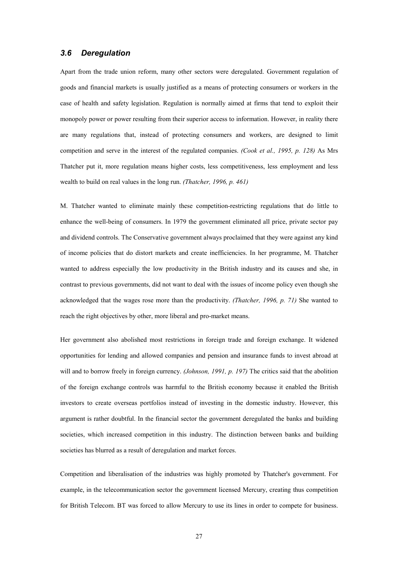## <span id="page-26-0"></span>*3.6 Deregulation*

Apart from the trade union reform, many other sectors were deregulated. Government regulation of goods and financial markets is usually justified as a means of protecting consumers or workers in the case of health and safety legislation. Regulation is normally aimed at firms that tend to exploit their monopoly power or power resulting from their superior access to information. However, in reality there are many regulations that, instead of protecting consumers and workers, are designed to limit competition and serve in the interest of the regulated companies. *(Cook et al., 1995, p. 128)* As Mrs Thatcher put it, more regulation means higher costs, less competitiveness, less employment and less wealth to build on real values in the long run. *(Thatcher, 1996, p. 461)*

M. Thatcher wanted to eliminate mainly these competition-restricting regulations that do little to enhance the well-being of consumers. In 1979 the government eliminated all price, private sector pay and dividend controls. The Conservative government always proclaimed that they were against any kind of income policies that do distort markets and create inefficiencies. In her programme, M. Thatcher wanted to address especially the low productivity in the British industry and its causes and she, in contrast to previous governments, did not want to deal with the issues of income policy even though she acknowledged that the wages rose more than the productivity. *(Thatcher, 1996, p. 71)* She wanted to reach the right objectives by other, more liberal and pro-market means.

Her government also abolished most restrictions in foreign trade and foreign exchange. It widened opportunities for lending and allowed companies and pension and insurance funds to invest abroad at will and to borrow freely in foreign currency. *(Johnson, 1991, p. 197)* The critics said that the abolition of the foreign exchange controls was harmful to the British economy because it enabled the British investors to create overseas portfolios instead of investing in the domestic industry. However, this argument is rather doubtful. In the financial sector the government deregulated the banks and building societies, which increased competition in this industry. The distinction between banks and building societies has blurred as a result of deregulation and market forces.

Competition and liberalisation of the industries was highly promoted by Thatcher's government. For example, in the telecommunication sector the government licensed Mercury, creating thus competition for British Telecom. BT was forced to allow Mercury to use its lines in order to compete for business.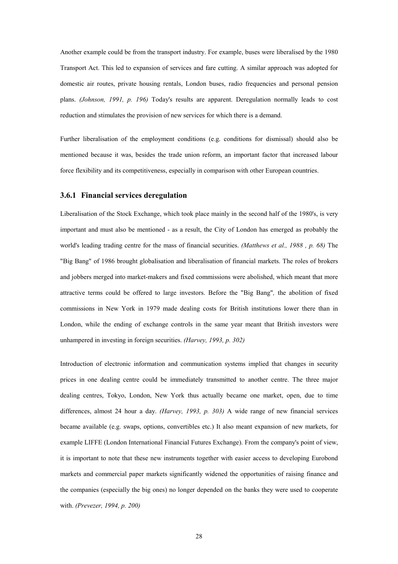Another example could be from the transport industry. For example, buses were liberalised by the 1980 Transport Act. This led to expansion of services and fare cutting. A similar approach was adopted for domestic air routes, private housing rentals, London buses, radio frequencies and personal pension plans. *(Johnson, 1991, p. 196)* Today's results are apparent. Deregulation normally leads to cost reduction and stimulates the provision of new services for which there is a demand.

Further liberalisation of the employment conditions (e.g. conditions for dismissal) should also be mentioned because it was, besides the trade union reform, an important factor that increased labour force flexibility and its competitiveness, especially in comparison with other European countries.

#### <span id="page-27-0"></span>**3.6.1 Financial services deregulation**

Liberalisation of the Stock Exchange, which took place mainly in the second half of the 1980's, is very important and must also be mentioned - as a result, the City of London has emerged as probably the world's leading trading centre for the mass of financial securities. *(Matthews et al., 1988 , p. 68)* The "Big Bang" of 1986 brought globalisation and liberalisation of financial markets. The roles of brokers and jobbers merged into market-makers and fixed commissions were abolished, which meant that more attractive terms could be offered to large investors. Before the "Big Bang"*,* the abolition of fixed commissions in New York in 1979 made dealing costs for British institutions lower there than in London, while the ending of exchange controls in the same year meant that British investors were unhampered in investing in foreign securities. *(Harvey, 1993, p. 302)*

Introduction of electronic information and communication systems implied that changes in security prices in one dealing centre could be immediately transmitted to another centre. The three major dealing centres, Tokyo, London, New York thus actually became one market, open, due to time differences, almost 24 hour a day. *(Harvey, 1993, p. 303)* A wide range of new financial services became available (e.g. swaps, options, convertibles etc.) It also meant expansion of new markets, for example LIFFE (London International Financial Futures Exchange). From the company's point of view, it is important to note that these new instruments together with easier access to developing Eurobond markets and commercial paper markets significantly widened the opportunities of raising finance and the companies (especially the big ones) no longer depended on the banks they were used to cooperate with. *(Prevezer, 1994, p. 200)*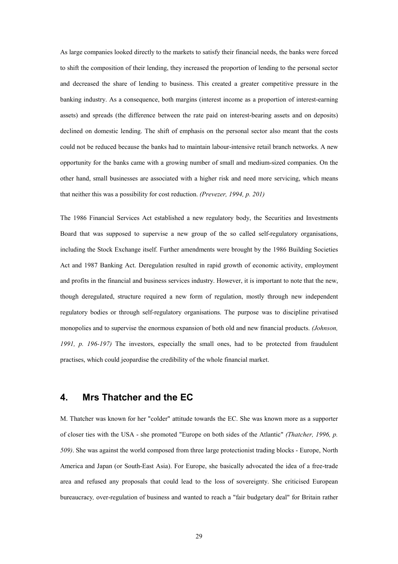As large companies looked directly to the markets to satisfy their financial needs, the banks were forced to shift the composition of their lending, they increased the proportion of lending to the personal sector and decreased the share of lending to business. This created a greater competitive pressure in the banking industry. As a consequence, both margins (interest income as a proportion of interest-earning assets) and spreads (the difference between the rate paid on interest-bearing assets and on deposits) declined on domestic lending. The shift of emphasis on the personal sector also meant that the costs could not be reduced because the banks had to maintain labour-intensive retail branch networks. A new opportunity for the banks came with a growing number of small and medium-sized companies. On the other hand, small businesses are associated with a higher risk and need more servicing, which means that neither this was a possibility for cost reduction. *(Prevezer, 1994, p. 201)*

The 1986 Financial Services Act established a new regulatory body, the Securities and Investments Board that was supposed to supervise a new group of the so called self-regulatory organisations, including the Stock Exchange itself. Further amendments were brought by the 1986 Building Societies Act and 1987 Banking Act. Deregulation resulted in rapid growth of economic activity, employment and profits in the financial and business services industry. However, it is important to note that the new, though deregulated, structure required a new form of regulation, mostly through new independent regulatory bodies or through self-regulatory organisations. The purpose was to discipline privatised monopolies and to supervise the enormous expansion of both old and new financial products. *(Johnson, 1991, p. 196-197)* The investors, especially the small ones, had to be protected from fraudulent practises, which could jeopardise the credibility of the whole financial market.

## <span id="page-28-0"></span>**4. Mrs Thatcher and the EC**

M. Thatcher was known for her "colder" attitude towards the EC. She was known more as a supporter of closer ties with the USA - she promoted "Europe on both sides of the Atlantic" *(Thatcher, 1996, p. 509)*. She was against the world composed from three large protectionist trading blocks - Europe, North America and Japan (or South-East Asia). For Europe, she basically advocated the idea of a free-trade area and refused any proposals that could lead to the loss of sovereignty. She criticised European bureaucracy*,* over-regulation of business and wanted to reach a "fair budgetary deal" for Britain rather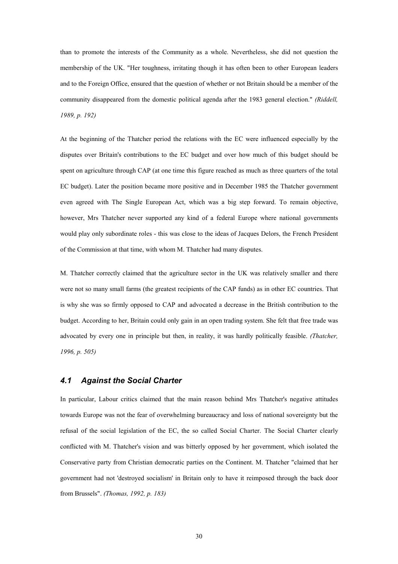than to promote the interests of the Community as a whole. Nevertheless, she did not question the membership of the UK. "Her toughness, irritating though it has often been to other European leaders and to the Foreign Office, ensured that the question of whether or not Britain should be a member of the community disappeared from the domestic political agenda after the 1983 general election." *(Riddell, 1989, p. 192)*

At the beginning of the Thatcher period the relations with the EC were influenced especially by the disputes over Britain's contributions to the EC budget and over how much of this budget should be spent on agriculture through CAP (at one time this figure reached as much as three quarters of the total EC budget). Later the position became more positive and in December 1985 the Thatcher government even agreed with The Single European Act, which was a big step forward. To remain objective, however, Mrs Thatcher never supported any kind of a federal Europe where national governments would play only subordinate roles - this was close to the ideas of Jacques Delors, the French President of the Commission at that time, with whom M. Thatcher had many disputes.

M. Thatcher correctly claimed that the agriculture sector in the UK was relatively smaller and there were not so many small farms (the greatest recipients of the CAP funds) as in other EC countries. That is why she was so firmly opposed to CAP and advocated a decrease in the British contribution to the budget. According to her, Britain could only gain in an open trading system. She felt that free trade was advocated by every one in principle but then, in reality, it was hardly politically feasible. *(Thatcher, 1996, p. 505)*

## <span id="page-29-0"></span>*4.1 Against the Social Charter*

In particular, Labour critics claimed that the main reason behind Mrs Thatcher's negative attitudes towards Europe was not the fear of overwhelming bureaucracy and loss of national sovereignty but the refusal of the social legislation of the EC, the so called Social Charter. The Social Charter clearly conflicted with M. Thatcher's vision and was bitterly opposed by her government, which isolated the Conservative party from Christian democratic parties on the Continent. M. Thatcher "claimed that her government had not 'destroyed socialism' in Britain only to have it reimposed through the back door from Brussels". *(Thomas, 1992, p. 183)*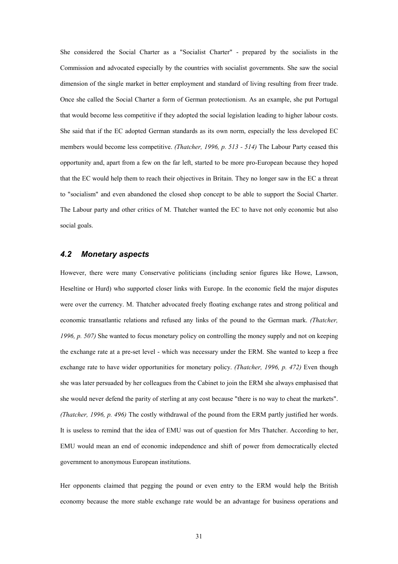She considered the Social Charter as a "Socialist Charter" - prepared by the socialists in the Commission and advocated especially by the countries with socialist governments. She saw the social dimension of the single market in better employment and standard of living resulting from freer trade. Once she called the Social Charter a form of German protectionism. As an example, she put Portugal that would become less competitive if they adopted the social legislation leading to higher labour costs. She said that if the EC adopted German standards as its own norm, especially the less developed EC members would become less competitive. *(Thatcher, 1996, p. 513 - 514)* The Labour Party ceased this opportunity and, apart from a few on the far left, started to be more pro-European because they hoped that the EC would help them to reach their objectives in Britain. They no longer saw in the EC a threat to "socialism" and even abandoned the closed shop concept to be able to support the Social Charter. The Labour party and other critics of M. Thatcher wanted the EC to have not only economic but also social goals.

## <span id="page-30-0"></span>*4.2 Monetary aspects*

However, there were many Conservative politicians (including senior figures like Howe, Lawson, Heseltine or Hurd) who supported closer links with Europe. In the economic field the major disputes were over the currency. M. Thatcher advocated freely floating exchange rates and strong political and economic transatlantic relations and refused any links of the pound to the German mark. *(Thatcher, 1996, p. 507)* She wanted to focus monetary policy on controlling the money supply and not on keeping the exchange rate at a pre-set level - which was necessary under the ERM. She wanted to keep a free exchange rate to have wider opportunities for monetary policy. *(Thatcher, 1996, p. 472)* Even though she was later persuaded by her colleagues from the Cabinet to join the ERM she always emphasised that she would never defend the parity of sterling at any cost because "there is no way to cheat the markets". *(Thatcher, 1996, p. 496)* The costly withdrawal of the pound from the ERM partly justified her words. It is useless to remind that the idea of EMU was out of question for Mrs Thatcher. According to her, EMU would mean an end of economic independence and shift of power from democratically elected government to anonymous European institutions.

Her opponents claimed that pegging the pound or even entry to the ERM would help the British economy because the more stable exchange rate would be an advantage for business operations and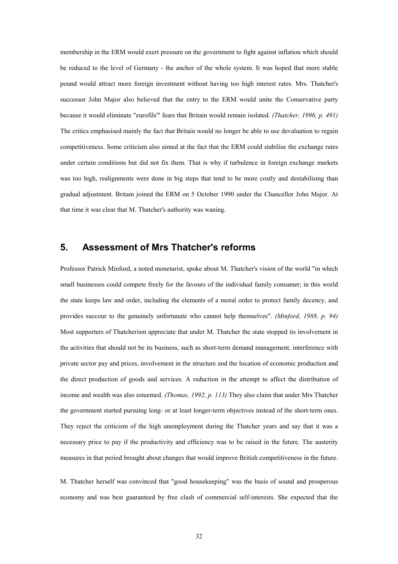membership in the ERM would exert pressure on the government to fight against inflation which should be reduced to the level of Germany - the anchor of the whole system. It was hoped that more stable pound would attract more foreign investment without having too high interest rates. Mrs. Thatcher's successor John Major also believed that the entry to the ERM would unite the Conservative party because it would eliminate "eurofils'" fears that Britain would remain isolated. *(Thatcher, 1996, p. 491)* The critics emphasised mainly the fact that Britain would no longer be able to use devaluation to regain competitiveness. Some criticism also aimed at the fact that the ERM could stabilise the exchange rates under certain conditions but did not fix them. That is why if turbulence in foreign exchange markets was too high, realignments were done in big steps that tend to be more costly and destabilising than gradual adjustment. Britain joined the ERM on 5 October 1990 under the Chancellor John Major. At that time it was clear that M. Thatcher's authority was waning.

## <span id="page-31-0"></span>**5. Assessment of Mrs Thatcher's reforms**

Professor Patrick Minford, a noted monetarist, spoke about M. Thatcher's vision of the world "in which small businesses could compete freely for the favours of the individual family consumer; in this world the state keeps law and order, including the elements of a moral order to protect family decency, and provides succour to the genuinely unfortunate who cannot help themselves". *(Minford, 1988, p. 94)* Most supporters of Thatcherism appreciate that under M. Thatcher the state stopped its involvement in the activities that should not be its business, such as short-term demand management, interference with private sector pay and prices, involvement in the structure and the location of economic production and the direct production of goods and services. A reduction in the attempt to affect the distribution of income and wealth was also esteemed. *(Thomas, 1992, p. 113)* They also claim that under Mrs Thatcher the government started pursuing long- or at least longer-term objectives instead of the short-term ones. They reject the criticism of the high unemployment during the Thatcher years and say that it was a necessary price to pay if the productivity and efficiency was to be raised in the future. The austerity measures in that period brought about changes that would improve British competitiveness in the future.

M. Thatcher herself was convinced that "good housekeeping" was the basis of sound and prosperous economy and was best guaranteed by free clash of commercial self-interests. She expected that the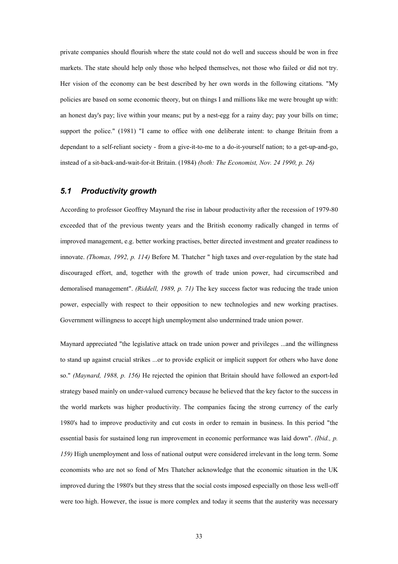private companies should flourish where the state could not do well and success should be won in free markets. The state should help only those who helped themselves, not those who failed or did not try. Her vision of the economy can be best described by her own words in the following citations. "My policies are based on some economic theory, but on things I and millions like me were brought up with: an honest day's pay; live within your means; put by a nest-egg for a rainy day; pay your bills on time; support the police." (1981) "I came to office with one deliberate intent: to change Britain from a dependant to a self-reliant society - from a give-it-to-me to a do-it-yourself nation; to a get-up-and-go, instead of a sit-back-and-wait-for-it Britain. (1984) *(both: The Economist, Nov. 24 1990, p. 26)*

## <span id="page-32-0"></span>*5.1 Productivity growth*

According to professor Geoffrey Maynard the rise in labour productivity after the recession of 1979-80 exceeded that of the previous twenty years and the British economy radically changed in terms of improved management, e.g. better working practises, better directed investment and greater readiness to innovate. *(Thomas, 1992, p. 114)* Before M. Thatcher " high taxes and over-regulation by the state had discouraged effort, and, together with the growth of trade union power, had circumscribed and demoralised management". *(Riddell, 1989, p. 71)* The key success factor was reducing the trade union power, especially with respect to their opposition to new technologies and new working practises. Government willingness to accept high unemployment also undermined trade union power.

Maynard appreciated "the legislative attack on trade union power and privileges ...and the willingness to stand up against crucial strikes ...or to provide explicit or implicit support for others who have done so." *(Maynard, 1988, p. 156)* He rejected the opinion that Britain should have followed an export-led strategy based mainly on under-valued currency because he believed that the key factor to the success in the world markets was higher productivity. The companies facing the strong currency of the early 1980's had to improve productivity and cut costs in order to remain in business. In this period "the essential basis for sustained long run improvement in economic performance was laid down". *(Ibid., p. 159)* High unemployment and loss of national output were considered irrelevant in the long term. Some economists who are not so fond of Mrs Thatcher acknowledge that the economic situation in the UK improved during the 1980's but they stress that the social costs imposed especially on those less well-off were too high. However, the issue is more complex and today it seems that the austerity was necessary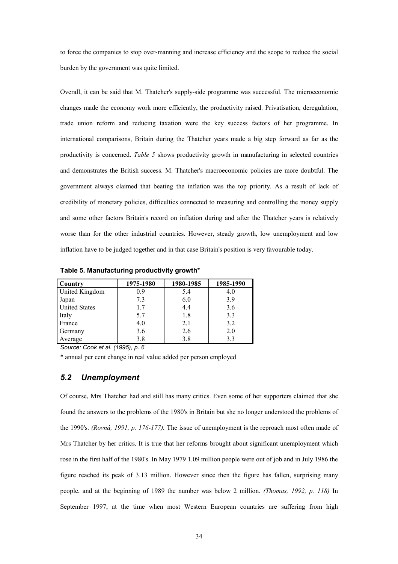to force the companies to stop over-manning and increase efficiency and the scope to reduce the social burden by the government was quite limited.

Overall, it can be said that M. Thatcher's supply-side programme was successful. The microeconomic changes made the economy work more efficiently, the productivity raised. Privatisation, deregulation, trade union reform and reducing taxation were the key success factors of her programme. In international comparisons, Britain during the Thatcher years made a big step forward as far as the productivity is concerned. *Table 5* shows productivity growth in manufacturing in selected countries and demonstrates the British success. M. Thatcher's macroeconomic policies are more doubtful. The government always claimed that beating the inflation was the top priority. As a result of lack of credibility of monetary policies, difficulties connected to measuring and controlling the money supply and some other factors Britain's record on inflation during and after the Thatcher years is relatively worse than for the other industrial countries. However, steady growth, low unemployment and low inflation have to be judged together and in that case Britain's position is very favourable today.

| Country              | 1975-1980 | 1980-1985 | 1985-1990 |
|----------------------|-----------|-----------|-----------|
| United Kingdom       | 0.9       | 5.4       | 4.0       |
| Japan                | 7.3       | 6.0       | 3.9       |
| <b>United States</b> | 1.7       | 4.4       | 3.6       |
| Italy                | 5.7       | 1.8       | 3.3       |
| France               | 4.0       | 2.1       | 3.2       |
| Germany              | 3.6       | 2.6       | 2.0       |
| Average              | 3.8       | 3.8       | 3.3       |

<span id="page-33-1"></span>**Table 5. Manufacturing productivity growth\***

*Source: Cook et al. (1995), p. 6*

\* annual per cent change in real value added per person employed

## <span id="page-33-0"></span>*5.2 Unemployment*

Of course, Mrs Thatcher had and still has many critics. Even some of her supporters claimed that she found the answers to the problems of the 1980's in Britain but she no longer understood the problems of the 1990's. *(Rovná, 1991, p. 176-177).* The issue of unemployment is the reproach most often made of Mrs Thatcher by her critics. It is true that her reforms brought about significant unemployment which rose in the first half of the 1980's. In May 1979 1.09 million people were out of job and in July 1986 the figure reached its peak of 3.13 million. However since then the figure has fallen, surprising many people, and at the beginning of 1989 the number was below 2 million. *(Thomas, 1992, p. 118)* In September 1997, at the time when most Western European countries are suffering from high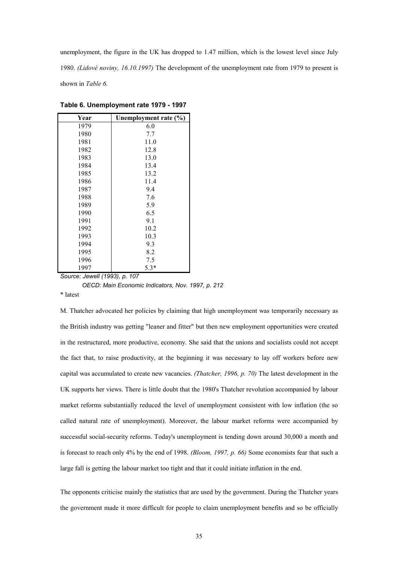unemployment, the figure in the UK has dropped to 1.47 million, which is the lowest level since July 1980. *(Lidové noviny, 16.10.1997)* The development of the unemployment rate from 1979 to present is shown in *Table 6.*

| Year | Unemployment rate (%) |
|------|-----------------------|
| 1979 | 6.0                   |
| 1980 | 7.7                   |
| 1981 | 11.0                  |
| 1982 | 12.8                  |
| 1983 | 13.0                  |
| 1984 | 13.4                  |
| 1985 | 13.2                  |
| 1986 | 11.4                  |
| 1987 | 9.4                   |
| 1988 | 7.6                   |
| 1989 | 5.9                   |
| 1990 | 6.5                   |
| 1991 | 9.1                   |
| 1992 | 10.2                  |
| 1993 | 10.3                  |
| 1994 | 9.3                   |
| 1995 | 8.2                   |
| 1996 | 7.5                   |
| 1997 | $5.3*$                |

<span id="page-34-0"></span>**Table 6. Unemployment rate 1979 - 1997**

*Source: Jewell (1993), p. 107*

 *OECD: Main Economic Indicators, Nov. 1997, p. 212*

\* latest

M. Thatcher advocated her policies by claiming that high unemployment was temporarily necessary as the British industry was getting "leaner and fitter" but then new employment opportunities were created in the restructured, more productive, economy. She said that the unions and socialists could not accept the fact that, to raise productivity, at the beginning it was necessary to lay off workers before new capital was accumulated to create new vacancies. *(Thatcher, 1996, p. 70)* The latest development in the UK supports her views. There is little doubt that the 1980's Thatcher revolution accompanied by labour market reforms substantially reduced the level of unemployment consistent with low inflation (the so called natural rate of unemployment). Moreover, the labour market reforms were accompanied by successful social-security reforms. Today's unemployment is tending down around 30,000 a month and is forecast to reach only 4% by the end of 1998. *(Bloom, 1997, p. 66)* Some economists fear that such a large fall is getting the labour market too tight and that it could initiate inflation in the end.

The opponents criticise mainly the statistics that are used by the government. During the Thatcher years the government made it more difficult for people to claim unemployment benefits and so be officially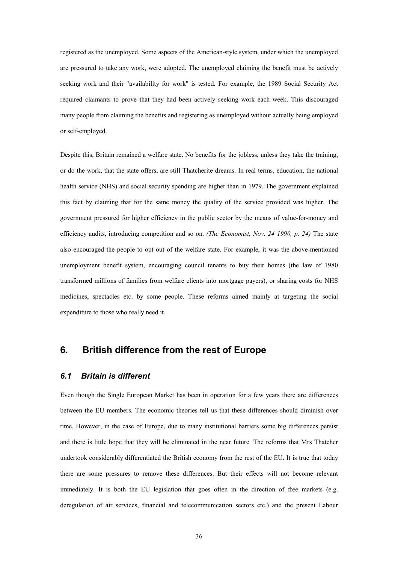registered as the unemployed. Some aspects of the American-style system, under which the unemployed are pressured to take any work, were adopted. The unemployed claiming the benefit must be actively seeking work and their "availability for work" is tested. For example, the 1989 Social Security Act required claimants to prove that they had been actively seeking work each week. This discouraged many people from claiming the benefits and registering as unemployed without actually being employed or self-employed.

Despite this, Britain remained a welfare state. No benefits for the jobless, unless they take the training, or do the work, that the state offers, are still Thatcherite dreams. In real terms, education, the national health service (NHS) and social security spending are higher than in 1979. The government explained this fact by claiming that for the same money the quality of the service provided was higher. The government pressured for higher efficiency in the public sector by the means of value-for-money and efficiency audits, introducing competition and so on. *(The Economist, Nov. 24 1990, p. 24)* The state also encouraged the people to opt out of the welfare state. For example, it was the above-mentioned unemployment benefit system, encouraging council tenants to buy their homes (the law of 1980 transformed millions of families from welfare clients into mortgage payers), or sharing costs for NHS medicines, spectacles etc. by some people. These reforms aimed mainly at targeting the social expenditure to those who really need it.

## <span id="page-35-0"></span>**6. British difference from the rest of Europe**

## <span id="page-35-1"></span>*6.1 Britain is different*

Even though the Single European Market has been in operation for a few years there are differences between the EU members. The economic theories tell us that these differences should diminish over time. However, in the case of Europe, due to many institutional barriers some big differences persist and there is little hope that they will be eliminated in the near future. The reforms that Mrs Thatcher undertook considerably differentiated the British economy from the rest of the EU. It is true that today there are some pressures to remove these differences. But their effects will not become relevant immediately. It is both the EU legislation that goes often in the direction of free markets (e.g. deregulation of air services, financial and telecommunication sectors etc.) and the present Labour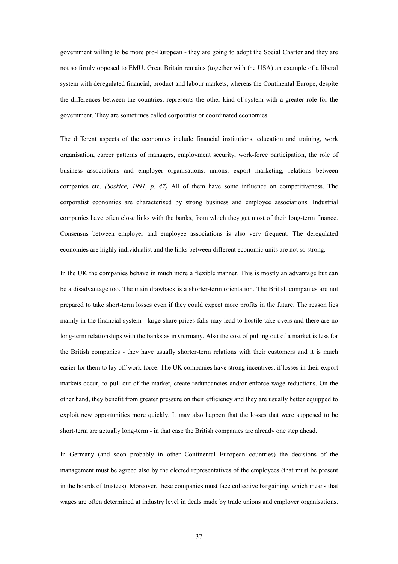government willing to be more pro-European - they are going to adopt the Social Charter and they are not so firmly opposed to EMU. Great Britain remains (together with the USA) an example of a liberal system with deregulated financial, product and labour markets, whereas the Continental Europe, despite the differences between the countries, represents the other kind of system with a greater role for the government. They are sometimes called corporatist or coordinated economies.

The different aspects of the economies include financial institutions, education and training, work organisation, career patterns of managers, employment security, work-force participation, the role of business associations and employer organisations, unions, export marketing, relations between companies etc. *(Soskice, 1991, p. 47)* All of them have some influence on competitiveness. The corporatist economies are characterised by strong business and employee associations. Industrial companies have often close links with the banks, from which they get most of their long-term finance. Consensus between employer and employee associations is also very frequent. The deregulated economies are highly individualist and the links between different economic units are not so strong.

In the UK the companies behave in much more a flexible manner. This is mostly an advantage but can be a disadvantage too. The main drawback is a shorter-term orientation. The British companies are not prepared to take short-term losses even if they could expect more profits in the future. The reason lies mainly in the financial system - large share prices falls may lead to hostile take-overs and there are no long-term relationships with the banks as in Germany. Also the cost of pulling out of a market is less for the British companies - they have usually shorter-term relations with their customers and it is much easier for them to lay off work-force. The UK companies have strong incentives, if losses in their export markets occur, to pull out of the market, create redundancies and/or enforce wage reductions. On the other hand, they benefit from greater pressure on their efficiency and they are usually better equipped to exploit new opportunities more quickly. It may also happen that the losses that were supposed to be short-term are actually long-term - in that case the British companies are already one step ahead.

In Germany (and soon probably in other Continental European countries) the decisions of the management must be agreed also by the elected representatives of the employees (that must be present in the boards of trustees). Moreover, these companies must face collective bargaining, which means that wages are often determined at industry level in deals made by trade unions and employer organisations.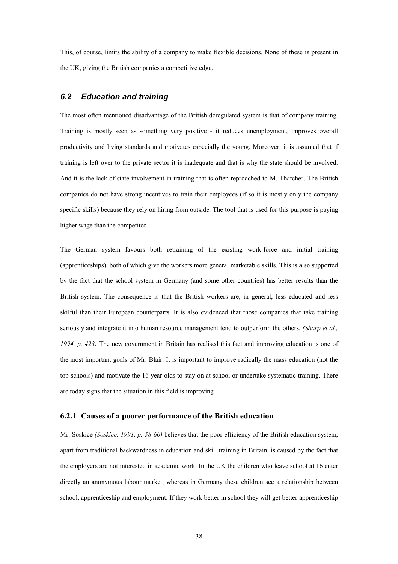This, of course, limits the ability of a company to make flexible decisions. None of these is present in the UK, giving the British companies a competitive edge.

## <span id="page-37-0"></span>*6.2 Education and training*

The most often mentioned disadvantage of the British deregulated system is that of company training. Training is mostly seen as something very positive - it reduces unemployment, improves overall productivity and living standards and motivates especially the young. Moreover, it is assumed that if training is left over to the private sector it is inadequate and that is why the state should be involved. And it is the lack of state involvement in training that is often reproached to M. Thatcher. The British companies do not have strong incentives to train their employees (if so it is mostly only the company specific skills) because they rely on hiring from outside. The tool that is used for this purpose is paying higher wage than the competitor.

The German system favours both retraining of the existing work-force and initial training (apprenticeships), both of which give the workers more general marketable skills. This is also supported by the fact that the school system in Germany (and some other countries) has better results than the British system. The consequence is that the British workers are, in general, less educated and less skilful than their European counterparts. It is also evidenced that those companies that take training seriously and integrate it into human resource management tend to outperform the others. *(Sharp et al., 1994, p. 423)* The new government in Britain has realised this fact and improving education is one of the most important goals of Mr. Blair. It is important to improve radically the mass education (not the top schools) and motivate the 16 year olds to stay on at school or undertake systematic training. There are today signs that the situation in this field is improving.

## <span id="page-37-1"></span>**6.2.1 Causes of a poorer performance of the British education**

Mr. Soskice *(Soskice, 1991, p. 58-60)* believes that the poor efficiency of the British education system, apart from traditional backwardness in education and skill training in Britain, is caused by the fact that the employers are not interested in academic work. In the UK the children who leave school at 16 enter directly an anonymous labour market, whereas in Germany these children see a relationship between school, apprenticeship and employment. If they work better in school they will get better apprenticeship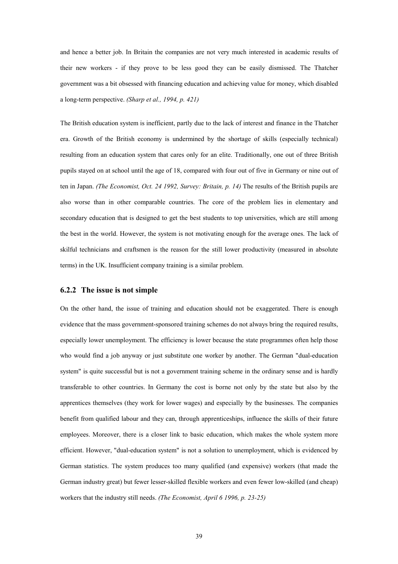and hence a better job. In Britain the companies are not very much interested in academic results of their new workers - if they prove to be less good they can be easily dismissed. The Thatcher government was a bit obsessed with financing education and achieving value for money, which disabled a long-term perspective. *(Sharp et al., 1994, p. 421)*

The British education system is inefficient, partly due to the lack of interest and finance in the Thatcher era. Growth of the British economy is undermined by the shortage of skills (especially technical) resulting from an education system that cares only for an elite. Traditionally, one out of three British pupils stayed on at school until the age of 18, compared with four out of five in Germany or nine out of ten in Japan. *(The Economist, Oct. 24 1992, Survey: Britain, p. 14)* The results of the British pupils are also worse than in other comparable countries. The core of the problem lies in elementary and secondary education that is designed to get the best students to top universities, which are still among the best in the world. However, the system is not motivating enough for the average ones. The lack of skilful technicians and craftsmen is the reason for the still lower productivity (measured in absolute terms) in the UK. Insufficient company training is a similar problem.

#### <span id="page-38-0"></span>**6.2.2 The issue is not simple**

On the other hand, the issue of training and education should not be exaggerated. There is enough evidence that the mass government-sponsored training schemes do not always bring the required results, especially lower unemployment. The efficiency is lower because the state programmes often help those who would find a job anyway or just substitute one worker by another. The German "dual-education system" is quite successful but is not a government training scheme in the ordinary sense and is hardly transferable to other countries. In Germany the cost is borne not only by the state but also by the apprentices themselves (they work for lower wages) and especially by the businesses. The companies benefit from qualified labour and they can, through apprenticeships, influence the skills of their future employees. Moreover, there is a closer link to basic education, which makes the whole system more efficient. However, "dual-education system" is not a solution to unemployment, which is evidenced by German statistics. The system produces too many qualified (and expensive) workers (that made the German industry great) but fewer lesser-skilled flexible workers and even fewer low-skilled (and cheap) workers that the industry still needs. *(The Economist, April 6 1996, p. 23-25)*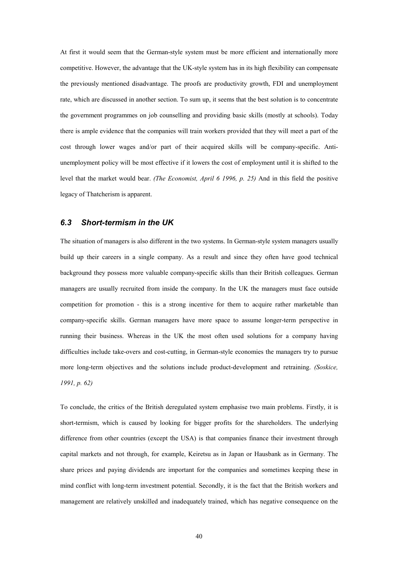At first it would seem that the German-style system must be more efficient and internationally more competitive. However, the advantage that the UK-style system has in its high flexibility can compensate the previously mentioned disadvantage. The proofs are productivity growth, FDI and unemployment rate, which are discussed in another section. To sum up, it seems that the best solution is to concentrate the government programmes on job counselling and providing basic skills (mostly at schools). Today there is ample evidence that the companies will train workers provided that they will meet a part of the cost through lower wages and/or part of their acquired skills will be company-specific. Antiunemployment policy will be most effective if it lowers the cost of employment until it is shifted to the level that the market would bear. *(The Economist, April 6 1996, p. 25)* And in this field the positive legacy of Thatcherism is apparent.

## <span id="page-39-0"></span>*6.3 Short-termism in the UK*

The situation of managers is also different in the two systems. In German-style system managers usually build up their careers in a single company. As a result and since they often have good technical background they possess more valuable company-specific skills than their British colleagues. German managers are usually recruited from inside the company. In the UK the managers must face outside competition for promotion - this is a strong incentive for them to acquire rather marketable than company-specific skills. German managers have more space to assume longer-term perspective in running their business. Whereas in the UK the most often used solutions for a company having difficulties include take-overs and cost-cutting, in German-style economies the managers try to pursue more long-term objectives and the solutions include product-development and retraining. *(Soskice, 1991, p. 62)*

To conclude, the critics of the British deregulated system emphasise two main problems. Firstly, it is short-termism, which is caused by looking for bigger profits for the shareholders. The underlying difference from other countries (except the USA) is that companies finance their investment through capital markets and not through, for example, Keiretsu as in Japan or Hausbank as in Germany. The share prices and paying dividends are important for the companies and sometimes keeping these in mind conflict with long-term investment potential. Secondly, it is the fact that the British workers and management are relatively unskilled and inadequately trained, which has negative consequence on the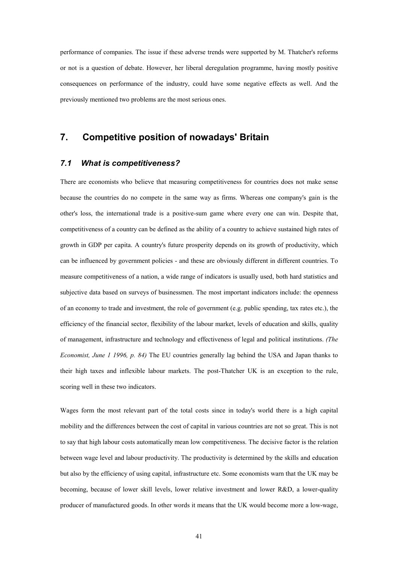performance of companies. The issue if these adverse trends were supported by M. Thatcher's reforms or not is a question of debate. However, her liberal deregulation programme, having mostly positive consequences on performance of the industry, could have some negative effects as well. And the previously mentioned two problems are the most serious ones.

## <span id="page-40-0"></span>**7. Competitive position of nowadays' Britain**

## <span id="page-40-1"></span>*7.1 What is competitiveness?*

There are economists who believe that measuring competitiveness for countries does not make sense because the countries do no compete in the same way as firms. Whereas one company's gain is the other's loss, the international trade is a positive-sum game where every one can win. Despite that, competitiveness of a country can be defined as the ability of a country to achieve sustained high rates of growth in GDP per capita. A country's future prosperity depends on its growth of productivity, which can be influenced by government policies - and these are obviously different in different countries. To measure competitiveness of a nation, a wide range of indicators is usually used, both hard statistics and subjective data based on surveys of businessmen. The most important indicators include: the openness of an economy to trade and investment, the role of government (e.g. public spending, tax rates etc.), the efficiency of the financial sector, flexibility of the labour market, levels of education and skills, quality of management, infrastructure and technology and effectiveness of legal and political institutions. *(The Economist, June 1 1996, p. 84)* The EU countries generally lag behind the USA and Japan thanks to their high taxes and inflexible labour markets. The post-Thatcher UK is an exception to the rule, scoring well in these two indicators.

Wages form the most relevant part of the total costs since in today's world there is a high capital mobility and the differences between the cost of capital in various countries are not so great. This is not to say that high labour costs automatically mean low competitiveness. The decisive factor is the relation between wage level and labour productivity. The productivity is determined by the skills and education but also by the efficiency of using capital, infrastructure etc. Some economists warn that the UK may be becoming, because of lower skill levels, lower relative investment and lower R&D, a lower-quality producer of manufactured goods. In other words it means that the UK would become more a low-wage,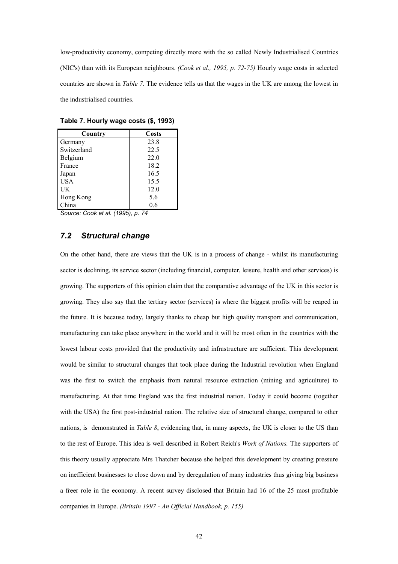low-productivity economy, competing directly more with the so called Newly Industrialised Countries (NIC's) than with its European neighbours. *(Cook et al., 1995, p. 72-75)* Hourly wage costs in selected countries are shown in *Table 7*. The evidence tells us that the wages in the UK are among the lowest in the industrialised countries.

| Country     | <b>Costs</b> |
|-------------|--------------|
| Germany     | 23.8         |
| Switzerland | 22.5         |
| Belgium     | 22.0         |
| France      | 18.2         |
| Japan       | 16.5         |
| <b>USA</b>  | 15.5         |
| UK          | 12.0         |
| Hong Kong   | 5.6          |
| hina        | 0.6          |

<span id="page-41-1"></span>**Table 7. Hourly wage costs (\$, 1993)**

*Source: Cook et al. (1995), p. 74*

## <span id="page-41-0"></span>*7.2 Structural change*

On the other hand, there are views that the UK is in a process of change - whilst its manufacturing sector is declining, its service sector (including financial, computer, leisure, health and other services) is growing. The supporters of this opinion claim that the comparative advantage of the UK in this sector is growing. They also say that the tertiary sector (services) is where the biggest profits will be reaped in the future. It is because today, largely thanks to cheap but high quality transport and communication, manufacturing can take place anywhere in the world and it will be most often in the countries with the lowest labour costs provided that the productivity and infrastructure are sufficient. This development would be similar to structural changes that took place during the Industrial revolution when England was the first to switch the emphasis from natural resource extraction (mining and agriculture) to manufacturing. At that time England was the first industrial nation. Today it could become (together with the USA) the first post-industrial nation. The relative size of structural change, compared to other nations, is demonstrated in *Table 8*, evidencing that, in many aspects, the UK is closer to the US than to the rest of Europe. This idea is well described in Robert Reich's *Work of Nations.* The supporters of this theory usually appreciate Mrs Thatcher because she helped this development by creating pressure on inefficient businesses to close down and by deregulation of many industries thus giving big business a freer role in the economy. A recent survey disclosed that Britain had 16 of the 25 most profitable companies in Europe. *(Britain 1997 - An Official Handbook, p. 155)*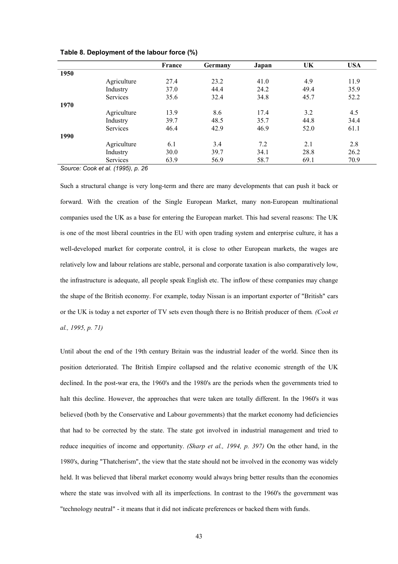|      |                 | France | Germany | Japan | UK   | <b>USA</b> |
|------|-----------------|--------|---------|-------|------|------------|
| 1950 |                 |        |         |       |      |            |
|      | Agriculture     | 27.4   | 23.2    | 41.0  | 4.9  | 11.9       |
|      | Industry        | 37.0   | 44.4    | 24.2  | 49.4 | 35.9       |
|      | <b>Services</b> | 35.6   | 32.4    | 34.8  | 45.7 | 52.2       |
| 1970 |                 |        |         |       |      |            |
|      | Agriculture     | 13.9   | 8.6     | 17.4  | 3.2  | 4.5        |
|      | Industry        | 39.7   | 48.5    | 35.7  | 44.8 | 34.4       |
|      | <b>Services</b> | 46.4   | 42.9    | 46.9  | 52.0 | 61.1       |
| 1990 |                 |        |         |       |      |            |
|      | Agriculture     | 6.1    | 3.4     | 7.2   | 2.1  | 2.8        |
|      | Industry        | 30.0   | 39.7    | 34.1  | 28.8 | 26.2       |
|      | Services        | 63.9   | 56.9    | 58.7  | 69.1 | 70.9       |

<span id="page-42-0"></span>**Table 8. Deployment of the labour force (%)**

*Source: Cook et al. (1995), p. 26*

Such a structural change is very long-term and there are many developments that can push it back or forward. With the creation of the Single European Market, many non-European multinational companies used the UK as a base for entering the European market. This had several reasons: The UK is one of the most liberal countries in the EU with open trading system and enterprise culture, it has a well-developed market for corporate control, it is close to other European markets, the wages are relatively low and labour relations are stable, personal and corporate taxation is also comparatively low, the infrastructure is adequate, all people speak English etc. The inflow of these companies may change the shape of the British economy. For example, today Nissan is an important exporter of "British" cars or the UK is today a net exporter of TV sets even though there is no British producer of them*. (Cook et al., 1995, p. 71)*

Until about the end of the 19th century Britain was the industrial leader of the world. Since then its position deteriorated. The British Empire collapsed and the relative economic strength of the UK declined. In the post-war era, the 1960's and the 1980's are the periods when the governments tried to halt this decline. However, the approaches that were taken are totally different. In the 1960's it was believed (both by the Conservative and Labour governments) that the market economy had deficiencies that had to be corrected by the state. The state got involved in industrial management and tried to reduce inequities of income and opportunity. *(Sharp et al., 1994, p. 397)* On the other hand, in the 1980's, during "Thatcherism", the view that the state should not be involved in the economy was widely held. It was believed that liberal market economy would always bring better results than the economies where the state was involved with all its imperfections. In contrast to the 1960's the government was "technology neutral" - it means that it did not indicate preferences or backed them with funds.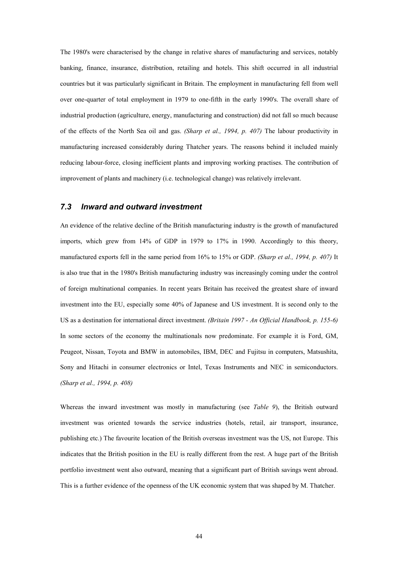The 1980's were characterised by the change in relative shares of manufacturing and services, notably banking, finance, insurance, distribution, retailing and hotels. This shift occurred in all industrial countries but it was particularly significant in Britain. The employment in manufacturing fell from well over one-quarter of total employment in 1979 to one-fifth in the early 1990's. The overall share of industrial production (agriculture, energy, manufacturing and construction) did not fall so much because of the effects of the North Sea oil and gas. *(Sharp et al., 1994, p. 407)* The labour productivity in manufacturing increased considerably during Thatcher years. The reasons behind it included mainly reducing labour-force, closing inefficient plants and improving working practises. The contribution of improvement of plants and machinery (i.e. technological change) was relatively irrelevant.

## <span id="page-43-0"></span>*7.3 Inward and outward investment*

An evidence of the relative decline of the British manufacturing industry is the growth of manufactured imports, which grew from 14% of GDP in 1979 to 17% in 1990. Accordingly to this theory, manufactured exports fell in the same period from 16% to 15% or GDP. *(Sharp et al., 1994, p. 407)* It is also true that in the 1980's British manufacturing industry was increasingly coming under the control of foreign multinational companies. In recent years Britain has received the greatest share of inward investment into the EU, especially some 40% of Japanese and US investment. It is second only to the US as a destination for international direct investment. *(Britain 1997 - An Official Handbook, p. 155-6)* In some sectors of the economy the multinationals now predominate. For example it is Ford, GM, Peugeot, Nissan, Toyota and BMW in automobiles, IBM, DEC and Fujitsu in computers, Matsushita, Sony and Hitachi in consumer electronics or Intel, Texas Instruments and NEC in semiconductors. *(Sharp et al., 1994, p. 408)*

Whereas the inward investment was mostly in manufacturing (see *Table 9*), the British outward investment was oriented towards the service industries (hotels, retail, air transport, insurance, publishing etc.) The favourite location of the British overseas investment was the US, not Europe. This indicates that the British position in the EU is really different from the rest. A huge part of the British portfolio investment went also outward, meaning that a significant part of British savings went abroad. This is a further evidence of the openness of the UK economic system that was shaped by M. Thatcher.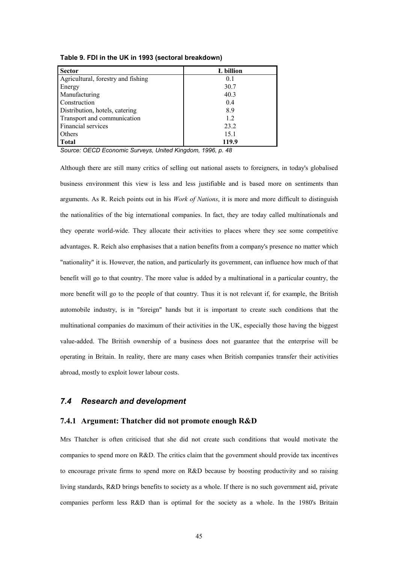| <b>Sector</b>                      | L billion |
|------------------------------------|-----------|
| Agricultural, forestry and fishing | 0.1       |
| Energy                             | 30.7      |
| Manufacturing                      | 40.3      |
| Construction                       | 0.4       |
| Distribution, hotels, catering     | 8.9       |
| Transport and communication        | 12        |
| Financial services                 | 23.2      |
| Others                             | 15.1      |
| <b>Total</b>                       | 119.9     |

<span id="page-44-2"></span>**Table 9. FDI in the UK in 1993 (sectoral breakdown)**

*Source: OECD Economic Surveys, United Kingdom, 1996, p. 48*

Although there are still many critics of selling out national assets to foreigners, in today's globalised business environment this view is less and less justifiable and is based more on sentiments than arguments. As R. Reich points out in his *Work of Nations*, it is more and more difficult to distinguish the nationalities of the big international companies. In fact, they are today called multinationals and they operate world-wide. They allocate their activities to places where they see some competitive advantages. R. Reich also emphasises that a nation benefits from a company's presence no matter which "nationality" it is. However, the nation, and particularly its government, can influence how much of that benefit will go to that country. The more value is added by a multinational in a particular country, the more benefit will go to the people of that country. Thus it is not relevant if, for example, the British automobile industry, is in "foreign" hands but it is important to create such conditions that the multinational companies do maximum of their activities in the UK, especially those having the biggest value-added. The British ownership of a business does not guarantee that the enterprise will be operating in Britain. In reality, there are many cases when British companies transfer their activities abroad, mostly to exploit lower labour costs.

## <span id="page-44-0"></span>*7.4 Research and development*

## <span id="page-44-1"></span>**7.4.1 Argument: Thatcher did not promote enough R&D**

Mrs Thatcher is often criticised that she did not create such conditions that would motivate the companies to spend more on R&D. The critics claim that the government should provide tax incentives to encourage private firms to spend more on R&D because by boosting productivity and so raising living standards, R&D brings benefits to society as a whole. If there is no such government aid, private companies perform less R&D than is optimal for the society as a whole. In the 1980's Britain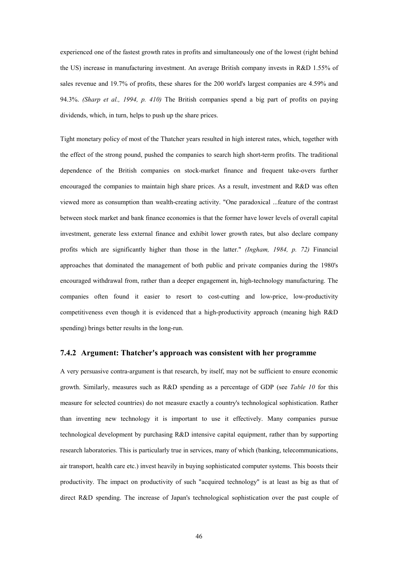experienced one of the fastest growth rates in profits and simultaneously one of the lowest (right behind the US) increase in manufacturing investment. An average British company invests in R&D 1.55% of sales revenue and 19.7% of profits, these shares for the 200 world's largest companies are 4.59% and 94.3%. *(Sharp et al., 1994, p. 410)* The British companies spend a big part of profits on paying dividends, which, in turn, helps to push up the share prices.

Tight monetary policy of most of the Thatcher years resulted in high interest rates, which, together with the effect of the strong pound, pushed the companies to search high short-term profits. The traditional dependence of the British companies on stock-market finance and frequent take-overs further encouraged the companies to maintain high share prices. As a result, investment and R&D was often viewed more as consumption than wealth-creating activity. "One paradoxical ...feature of the contrast between stock market and bank finance economies is that the former have lower levels of overall capital investment, generate less external finance and exhibit lower growth rates, but also declare company profits which are significantly higher than those in the latter." *(Ingham, 1984, p. 72)* Financial approaches that dominated the management of both public and private companies during the 1980's encouraged withdrawal from, rather than a deeper engagement in, high-technology manufacturing. The companies often found it easier to resort to cost-cutting and low-price, low-productivity competitiveness even though it is evidenced that a high-productivity approach (meaning high R&D spending) brings better results in the long-run.

#### <span id="page-45-0"></span>**7.4.2 Argument: Thatcher's approach was consistent with her programme**

A very persuasive contra-argument is that research, by itself, may not be sufficient to ensure economic growth. Similarly, measures such as R&D spending as a percentage of GDP (see *Table 10* for this measure for selected countries) do not measure exactly a country's technological sophistication. Rather than inventing new technology it is important to use it effectively. Many companies pursue technological development by purchasing R&D intensive capital equipment, rather than by supporting research laboratories. This is particularly true in services, many of which (banking, telecommunications, air transport, health care etc.) invest heavily in buying sophisticated computer systems. This boosts their productivity. The impact on productivity of such "acquired technology" is at least as big as that of direct R&D spending. The increase of Japan's technological sophistication over the past couple of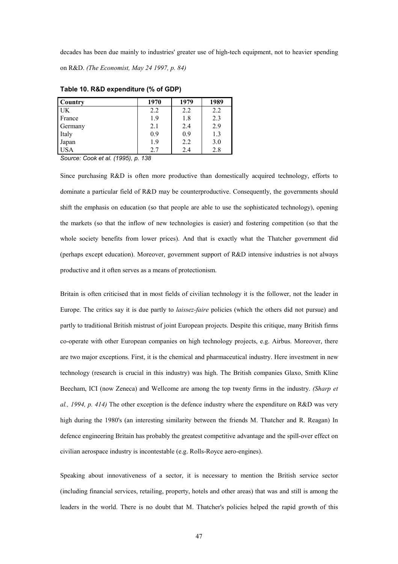decades has been due mainly to industries' greater use of high-tech equipment, not to heavier spending on R&D. *(The Economist, May 24 1997, p. 84)*

| <b>Country</b> | 1970 | 1979    | 1989 |
|----------------|------|---------|------|
| l UK           | 2.2  | 2.2     | 2.2  |
| France         | 1.9  | $1.8\,$ | 2.3  |
| Germany        | 2.1  | 2.4     | 2.9  |
| Italy          | 0.9  | 0.9     | 1.3  |
| Japan          | 1.9  | 2.2     | 3.0  |
| <b>USA</b>     | 2.7  | 2.4     | 2.8  |

<span id="page-46-0"></span>**Table 10. R&D expenditure (% of GDP)**

*Source: Cook et al. (1995), p. 138*

Since purchasing R&D is often more productive than domestically acquired technology, efforts to dominate a particular field of R&D may be counterproductive. Consequently, the governments should shift the emphasis on education (so that people are able to use the sophisticated technology), opening the markets (so that the inflow of new technologies is easier) and fostering competition (so that the whole society benefits from lower prices). And that is exactly what the Thatcher government did (perhaps except education). Moreover, government support of R&D intensive industries is not always productive and it often serves as a means of protectionism.

Britain is often criticised that in most fields of civilian technology it is the follower, not the leader in Europe. The critics say it is due partly to *laissez-faire* policies (which the others did not pursue) and partly to traditional British mistrust of joint European projects. Despite this critique, many British firms co-operate with other European companies on high technology projects, e.g. Airbus. Moreover, there are two major exceptions. First, it is the chemical and pharmaceutical industry. Here investment in new technology (research is crucial in this industry) was high. The British companies Glaxo, Smith Kline Beecham, ICI (now Zeneca) and Wellcome are among the top twenty firms in the industry. *(Sharp et al., 1994, p. 414)* The other exception is the defence industry where the expenditure on R&D was very high during the 1980's (an interesting similarity between the friends M. Thatcher and R. Reagan) In defence engineering Britain has probably the greatest competitive advantage and the spill-over effect on civilian aerospace industry is incontestable (e.g. Rolls-Royce aero-engines).

Speaking about innovativeness of a sector, it is necessary to mention the British service sector (including financial services, retailing, property, hotels and other areas) that was and still is among the leaders in the world. There is no doubt that M. Thatcher's policies helped the rapid growth of this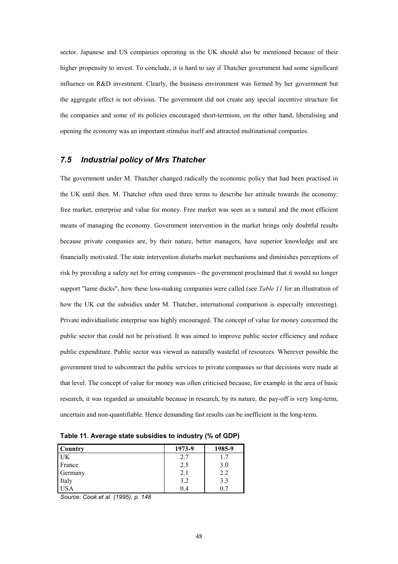sector. Japanese and US companies operating in the UK should also be mentioned because of their higher propensity to invest. To conclude, it is hard to say if Thatcher government had some significant influence on R&D investment. Clearly, the business environment was formed by her government but the aggregate effect is not obvious. The government did not create any special incentive structure for the companies and some of its policies encouraged short-termism, on the other hand, liberalising and opening the economy was an important stimulus itself and attracted multinational companies.

## <span id="page-47-0"></span>*7.5 Industrial policy of Mrs Thatcher*

The government under M. Thatcher changed radically the economic policy that had been practised in the UK until then. M. Thatcher often used three terms to describe her attitude towards the economy: free market, enterprise and value for money. Free market was seen as a natural and the most efficient means of managing the economy. Government intervention in the market brings only doubtful results because private companies are, by their nature, better managers, have superior knowledge and are financially motivated. The state intervention disturbs market mechanisms and diminishes perceptions of risk by providing a safety net for erring companies - the government proclaimed that it would no longer support "lame ducks", how these loss-making companies were called (see *Table 11* for an illustration of how the UK cut the subsidies under M. Thatcher, international comparison is especially interesting). Private individualistic enterprise was highly encouraged. The concept of value for money concerned the public sector that could not be privatised. It was aimed to improve public sector efficiency and reduce public expenditure. Public sector was viewed as naturally wasteful of resources. Wherever possible the government tried to subcontract the public services to private companies so that decisions were made at that level. The concept of value for money was often criticised because, for example in the area of basic research, it was regarded as unsuitable because in research, by its nature, the pay-off is very long-term, uncertain and non-quantifiable. Hence demanding fast results can be inefficient in the long-term.

<span id="page-47-1"></span>**Table 11. Average state subsidies to industry (% of GDP)**

| <b>Country</b> | 1973-9 | 1985-9 |
|----------------|--------|--------|
| UK             | 2.7    | 1.7    |
| France         | 2.5    | 3.0    |
| Germany        | 2.1    | 2.2    |
| Italy          | 3.2    | 3.3    |
| <b>USA</b>     | 0.4    | 07     |

*Source: Cook et al. (1995), p. 148*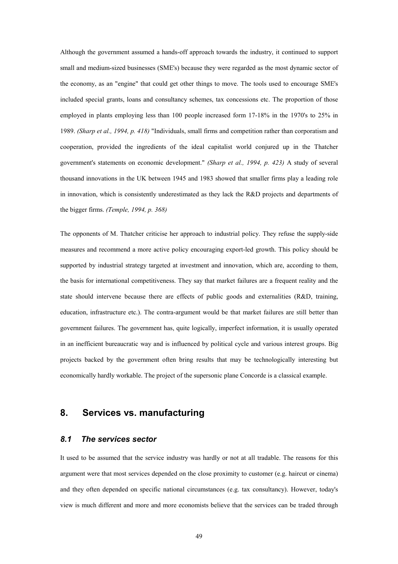Although the government assumed a hands-off approach towards the industry, it continued to support small and medium-sized businesses (SME's) because they were regarded as the most dynamic sector of the economy, as an "engine" that could get other things to move. The tools used to encourage SME's included special grants, loans and consultancy schemes, tax concessions etc. The proportion of those employed in plants employing less than 100 people increased form 17-18% in the 1970's to 25% in 1989. *(Sharp et al., 1994, p. 418)* "Individuals, small firms and competition rather than corporatism and cooperation, provided the ingredients of the ideal capitalist world conjured up in the Thatcher government's statements on economic development." *(Sharp et al., 1994, p. 423)* A study of several thousand innovations in the UK between 1945 and 1983 showed that smaller firms play a leading role in innovation, which is consistently underestimated as they lack the R&D projects and departments of the bigger firms. *(Temple, 1994, p. 368)*

The opponents of M. Thatcher criticise her approach to industrial policy. They refuse the supply-side measures and recommend a more active policy encouraging export-led growth. This policy should be supported by industrial strategy targeted at investment and innovation, which are, according to them, the basis for international competitiveness. They say that market failures are a frequent reality and the state should intervene because there are effects of public goods and externalities (R&D, training, education, infrastructure etc.). The contra-argument would be that market failures are still better than government failures. The government has, quite logically, imperfect information, it is usually operated in an inefficient bureaucratic way and is influenced by political cycle and various interest groups. Big projects backed by the government often bring results that may be technologically interesting but economically hardly workable. The project of the supersonic plane Concorde is a classical example.

## <span id="page-48-0"></span>**8. Services vs. manufacturing**

## <span id="page-48-1"></span>*8.1 The services sector*

It used to be assumed that the service industry was hardly or not at all tradable. The reasons for this argument were that most services depended on the close proximity to customer (e.g. haircut or cinema) and they often depended on specific national circumstances (e.g. tax consultancy). However, today's view is much different and more and more economists believe that the services can be traded through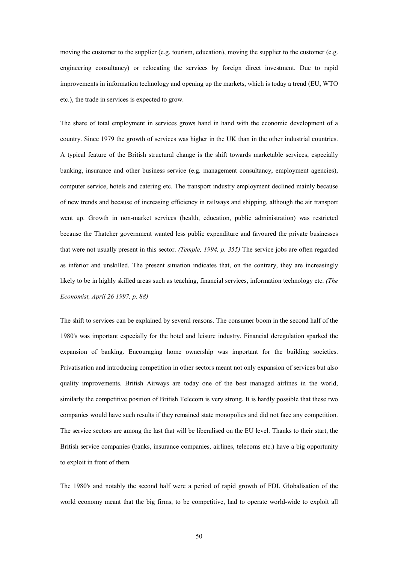moving the customer to the supplier (e.g. tourism, education), moving the supplier to the customer (e.g. engineering consultancy) or relocating the services by foreign direct investment. Due to rapid improvements in information technology and opening up the markets, which is today a trend (EU, WTO etc.), the trade in services is expected to grow.

The share of total employment in services grows hand in hand with the economic development of a country. Since 1979 the growth of services was higher in the UK than in the other industrial countries. A typical feature of the British structural change is the shift towards marketable services, especially banking, insurance and other business service (e.g. management consultancy, employment agencies), computer service, hotels and catering etc. The transport industry employment declined mainly because of new trends and because of increasing efficiency in railways and shipping, although the air transport went up. Growth in non-market services (health, education, public administration) was restricted because the Thatcher government wanted less public expenditure and favoured the private businesses that were not usually present in this sector. *(Temple, 1994, p. 355)* The service jobs are often regarded as inferior and unskilled. The present situation indicates that, on the contrary, they are increasingly likely to be in highly skilled areas such as teaching, financial services, information technology etc. *(The Economist, April 26 1997, p. 88)*

The shift to services can be explained by several reasons. The consumer boom in the second half of the 1980's was important especially for the hotel and leisure industry. Financial deregulation sparked the expansion of banking. Encouraging home ownership was important for the building societies. Privatisation and introducing competition in other sectors meant not only expansion of services but also quality improvements. British Airways are today one of the best managed airlines in the world, similarly the competitive position of British Telecom is very strong. It is hardly possible that these two companies would have such results if they remained state monopolies and did not face any competition. The service sectors are among the last that will be liberalised on the EU level. Thanks to their start, the British service companies (banks, insurance companies, airlines, telecoms etc.) have a big opportunity to exploit in front of them.

The 1980's and notably the second half were a period of rapid growth of FDI. Globalisation of the world economy meant that the big firms, to be competitive, had to operate world-wide to exploit all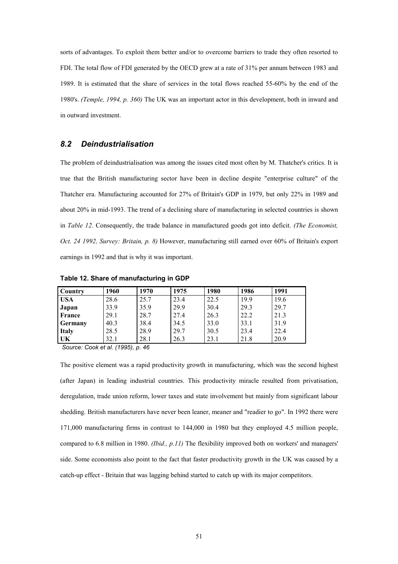sorts of advantages. To exploit them better and/or to overcome barriers to trade they often resorted to FDI. The total flow of FDI generated by the OECD grew at a rate of 31% per annum between 1983 and 1989. It is estimated that the share of services in the total flows reached 55-60% by the end of the 1980's. *(Temple, 1994, p. 360)* The UK was an important actor in this development, both in inward and in outward investment.

## <span id="page-50-0"></span>*8.2 Deindustrialisation*

The problem of deindustrialisation was among the issues cited most often by M. Thatcher's critics. It is true that the British manufacturing sector have been in decline despite "enterprise culture" of the Thatcher era. Manufacturing accounted for 27% of Britain's GDP in 1979, but only 22% in 1989 and about 20% in mid-1993. The trend of a declining share of manufacturing in selected countries is shown in *Table 12*. Consequently, the trade balance in manufactured goods got into deficit. *(The Economist, Oct. 24 1992, Survey: Britain, p. 8)* However, manufacturing still earned over 60% of Britain's export earnings in 1992 and that is why it was important.

| <b>Country</b> | 1960 | 1970 | 1975 | 1980 | 1986 | 1991 |
|----------------|------|------|------|------|------|------|
| <b>USA</b>     | 28.6 | 25.7 | 23.4 | 22.5 | 19.9 | 19.6 |
| Japan          | 33.9 | 35.9 | 29.9 | 30.4 | 29.3 | 29.7 |
| France         | 29.1 | 28.7 | 27.4 | 26.3 | 22.2 | 21.3 |
| <b>Germany</b> | 40.3 | 38.4 | 34.5 | 33.0 | 33.1 | 31.9 |
| <b>Italy</b>   | 28.5 | 28.9 | 29.7 | 30.5 | 23.4 | 22.4 |
| UK             | 32.1 | 28.1 | 26.3 | 23.1 | 21.8 | 20.9 |

<span id="page-50-1"></span>**Table 12. Share of manufacturing in GDP**

 *Source: Cook et al. (1995), p. 46*

The positive element was a rapid productivity growth in manufacturing, which was the second highest (after Japan) in leading industrial countries. This productivity miracle resulted from privatisation, deregulation, trade union reform, lower taxes and state involvement but mainly from significant labour shedding. British manufacturers have never been leaner, meaner and "readier to go". In 1992 there were 171,000 manufacturing firms in contrast to 144,000 in 1980 but they employed 4.5 million people, compared to 6.8 million in 1980. *(Ibid., p.11)* The flexibility improved both on workers' and managers' side. Some economists also point to the fact that faster productivity growth in the UK was caused by a catch-up effect - Britain that was lagging behind started to catch up with its major competitors.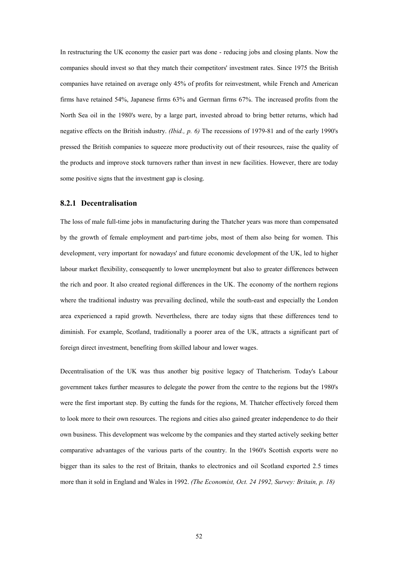In restructuring the UK economy the easier part was done - reducing jobs and closing plants. Now the companies should invest so that they match their competitors' investment rates. Since 1975 the British companies have retained on average only 45% of profits for reinvestment, while French and American firms have retained 54%, Japanese firms 63% and German firms 67%. The increased profits from the North Sea oil in the 1980's were, by a large part, invested abroad to bring better returns, which had negative effects on the British industry. *(Ibid., p. 6)* The recessions of 1979-81 and of the early 1990's pressed the British companies to squeeze more productivity out of their resources, raise the quality of the products and improve stock turnovers rather than invest in new facilities. However, there are today some positive signs that the investment gap is closing.

#### <span id="page-51-0"></span>**8.2.1 Decentralisation**

The loss of male full-time jobs in manufacturing during the Thatcher years was more than compensated by the growth of female employment and part-time jobs, most of them also being for women. This development, very important for nowadays' and future economic development of the UK, led to higher labour market flexibility, consequently to lower unemployment but also to greater differences between the rich and poor. It also created regional differences in the UK. The economy of the northern regions where the traditional industry was prevailing declined, while the south-east and especially the London area experienced a rapid growth. Nevertheless, there are today signs that these differences tend to diminish. For example, Scotland, traditionally a poorer area of the UK, attracts a significant part of foreign direct investment, benefiting from skilled labour and lower wages.

Decentralisation of the UK was thus another big positive legacy of Thatcherism. Today's Labour government takes further measures to delegate the power from the centre to the regions but the 1980's were the first important step. By cutting the funds for the regions, M. Thatcher effectively forced them to look more to their own resources. The regions and cities also gained greater independence to do their own business. This development was welcome by the companies and they started actively seeking better comparative advantages of the various parts of the country. In the 1960's Scottish exports were no bigger than its sales to the rest of Britain, thanks to electronics and oil Scotland exported 2.5 times more than it sold in England and Wales in 1992. *(The Economist, Oct. 24 1992, Survey: Britain, p. 18)*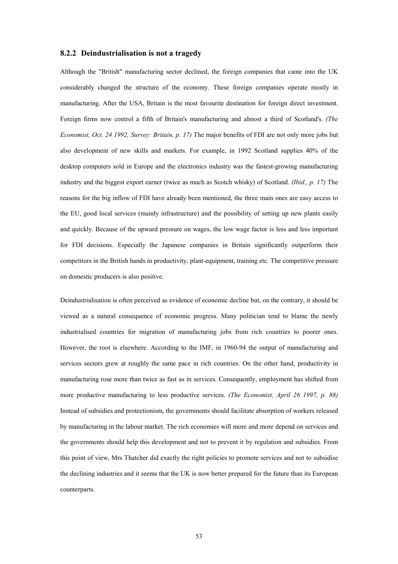#### <span id="page-52-0"></span>**8.2.2 Deindustrialisation is not a tragedy**

Although the "British" manufacturing sector declined, the foreign companies that came into the UK considerably changed the structure of the economy. These foreign companies operate mostly in manufacturing. After the USA, Britain is the most favourite destination for foreign direct investment. Foreign firms now control a fifth of Britain's manufacturing and almost a third of Scotland's. *(The Economist, Oct. 24 1992, Survey: Britain, p. 17)* The major benefits of FDI are not only more jobs but also development of new skills and markets. For example, in 1992 Scotland supplies 40% of the desktop computers sold in Europe and the electronics industry was the fastest-growing manufacturing industry and the biggest export earner (twice as much as Scotch whisky) of Scotland. *(Ibid., p. 17)* The reasons for the big inflow of FDI have already been mentioned, the three main ones are easy access to the EU, good local services (mainly infrastructure) and the possibility of setting up new plants easily and quickly. Because of the upward pressure on wages, the low wage factor is less and less important for FDI decisions. Especially the Japanese companies in Britain significantly outperform their competitors in the British hands in productivity, plant-equipment, training etc. The competitive pressure on domestic producers is also positive.

Deindustrialisation is often perceived as evidence of economic decline but, on the contrary, it should be viewed as a natural consequence of economic progress. Many politician tend to blame the newly industrialised countries for migration of manufacturing jobs from rich countries to poorer ones. However, the root is elsewhere. According to the IMF, in 1960-94 the output of manufacturing and services sectors grew at roughly the same pace in rich countries. On the other hand, productivity in manufacturing rose more than twice as fast as in services. Consequently, employment has shifted from more productive manufacturing to less productive services. *(The Economist, April 26 1997, p. 88)* Instead of subsidies and protectionism, the governments should facilitate absorption of workers released by manufacturing in the labour market. The rich economies will more and more depend on services and the governments should help this development and not to prevent it by regulation and subsidies. From this point of view, Mrs Thatcher did exactly the right policies to promote services and not to subsidise the declining industries and it seems that the UK is now better prepared for the future than its European counterparts.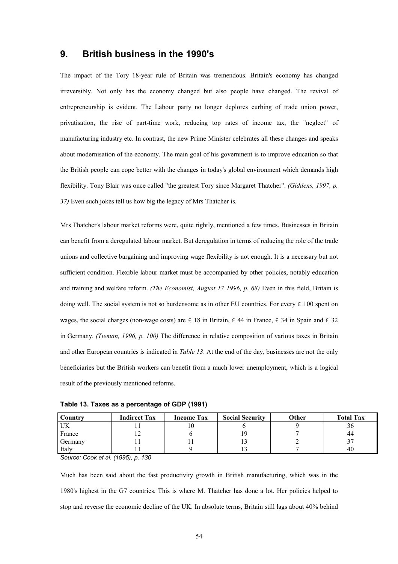## <span id="page-53-0"></span>**9. British business in the 1990's**

The impact of the Tory 18-year rule of Britain was tremendous. Britain's economy has changed irreversibly. Not only has the economy changed but also people have changed. The revival of entrepreneurship is evident. The Labour party no longer deplores curbing of trade union power, privatisation, the rise of part-time work, reducing top rates of income tax, the "neglect" of manufacturing industry etc. In contrast, the new Prime Minister celebrates all these changes and speaks about modernisation of the economy. The main goal of his government is to improve education so that the British people can cope better with the changes in today's global environment which demands high flexibility. Tony Blair was once called "the greatest Tory since Margaret Thatcher". *(Giddens, 1997, p. 37)* Even such jokes tell us how big the legacy of Mrs Thatcher is.

Mrs Thatcher's labour market reforms were, quite rightly, mentioned a few times. Businesses in Britain can benefit from a deregulated labour market. But deregulation in terms of reducing the role of the trade unions and collective bargaining and improving wage flexibility is not enough. It is a necessary but not sufficient condition. Flexible labour market must be accompanied by other policies, notably education and training and welfare reform. *(The Economist, August 17 1996, p. 68)* Even in this field, Britain is doing well. The social system is not so burdensome as in other EU countries. For every  $\epsilon$  100 spent on wages, the social charges (non-wage costs) are  $\epsilon$  18 in Britain,  $\epsilon$  44 in France,  $\epsilon$  34 in Spain and  $\epsilon$  32 in Germany. *(Tieman, 1996, p. 100)* The difference in relative composition of various taxes in Britain and other European countries is indicated in *Table 13*. At the end of the day, businesses are not the only beneficiaries but the British workers can benefit from a much lower unemployment, which is a logical result of the previously mentioned reforms.

<span id="page-53-1"></span>**Table 13. Taxes as a percentage of GDP (1991)**

| Country | <b>Indirect Tax</b> | <b>Income Tax</b> | <b>Social Security</b> | Other | <b>Total Tax</b> |
|---------|---------------------|-------------------|------------------------|-------|------------------|
| UK      |                     |                   |                        |       | 90               |
| France  |                     |                   | ر (                    |       | 44               |
| Germany |                     |                   | IJ                     |       |                  |
| Italy   |                     |                   |                        |       | 40               |

*Source: Cook et al. (1995), p. 130*

Much has been said about the fast productivity growth in British manufacturing, which was in the 1980's highest in the G7 countries. This is where M. Thatcher has done a lot. Her policies helped to stop and reverse the economic decline of the UK. In absolute terms, Britain still lags about 40% behind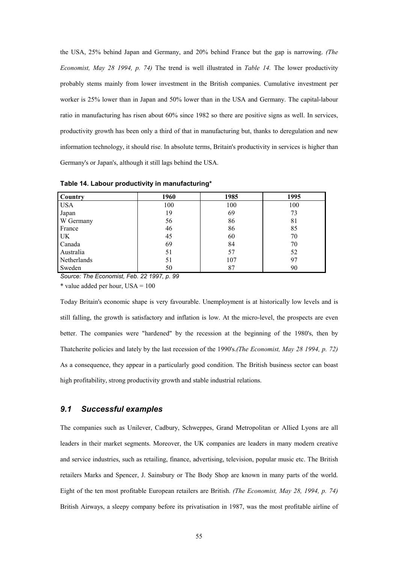the USA, 25% behind Japan and Germany, and 20% behind France but the gap is narrowing. *(The Economist, May 28 1994, p. 74)* The trend is well illustrated in *Table 14.* The lower productivity probably stems mainly from lower investment in the British companies. Cumulative investment per worker is 25% lower than in Japan and 50% lower than in the USA and Germany. The capital-labour ratio in manufacturing has risen about 60% since 1982 so there are positive signs as well. In services, productivity growth has been only a third of that in manufacturing but, thanks to deregulation and new information technology, it should rise. In absolute terms, Britain's productivity in services is higher than Germany's or Japan's, although it still lags behind the USA.

| <b>Country</b> | 1960 | 1985 | 1995 |
|----------------|------|------|------|
| <b>USA</b>     | 100  | 100  | 100  |
| Japan          | 19   | 69   | 73   |
| W Germany      | 56   | 86   | 81   |
| France         | 46   | 86   | 85   |
| UK             | 45   | 60   | 70   |
| Canada         | 69   | 84   | 70   |
| Australia      | 51   | 57   | 52   |
| Netherlands    | 51   | 107  | 97   |
| Sweden         | 50   | 87   | 90   |

<span id="page-54-1"></span>**Table 14. Labour productivity in manufacturing\***

*Source: The Economist, Feb. 22 1997, p. 99*

 $*$  value added per hour, USA = 100

Today Britain's economic shape is very favourable. Unemployment is at historically low levels and is still falling, the growth is satisfactory and inflation is low. At the micro-level, the prospects are even better. The companies were "hardened" by the recession at the beginning of the 1980's, then by Thatcherite policies and lately by the last recession of the 1990's.*(The Economist, May 28 1994, p. 72)* As a consequence, they appear in a particularly good condition. The British business sector can boast high profitability, strong productivity growth and stable industrial relations.

## <span id="page-54-0"></span>*9.1 Successful examples*

The companies such as Unilever, Cadbury, Schweppes, Grand Metropolitan or Allied Lyons are all leaders in their market segments. Moreover, the UK companies are leaders in many modern creative and service industries, such as retailing, finance, advertising, television, popular music etc. The British retailers Marks and Spencer, J. Sainsbury or The Body Shop are known in many parts of the world. Eight of the ten most profitable European retailers are British. *(The Economist, May 28, 1994, p. 74)* British Airways, a sleepy company before its privatisation in 1987, was the most profitable airline of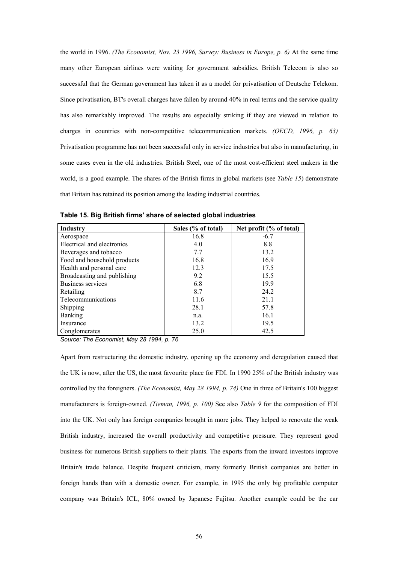the world in 1996. *(The Economist, Nov. 23 1996, Survey: Business in Europe, p. 6)* At the same time many other European airlines were waiting for government subsidies. British Telecom is also so successful that the German government has taken it as a model for privatisation of Deutsche Telekom. Since privatisation, BT's overall charges have fallen by around 40% in real terms and the service quality has also remarkably improved. The results are especially striking if they are viewed in relation to charges in countries with non-competitive telecommunication markets. *(OECD, 1996, p. 63)* Privatisation programme has not been successful only in service industries but also in manufacturing, in some cases even in the old industries. British Steel, one of the most cost-efficient steel makers in the world, is a good example. The shares of the British firms in global markets (see *Table 15*) demonstrate that Britain has retained its position among the leading industrial countries.

| Industry                    | Sales (% of total) | Net profit (% of total) |
|-----------------------------|--------------------|-------------------------|
| Aerospace                   | 16.8               | $-6.7$                  |
| Electrical and electronics  | 4.0                | 8.8                     |
| Beverages and tobacco       | 7.7                | 13.2                    |
| Food and household products | 16.8               | 16.9                    |
| Health and personal care    | 12.3               | 17.5                    |
| Broadcasting and publishing | 9.2                | 15.5                    |
| Business services           | 6.8                | 19.9                    |
| Retailing                   | 8.7                | 24.2                    |
| Telecommunications          | 11.6               | 21.1                    |
| Shipping                    | 28.1               | 57.8                    |
| <b>Banking</b>              | n.a.               | 16.1                    |
| Insurance                   | 13.2               | 19.5                    |
| Conglomerates               | 25.0               | 42.5                    |

<span id="page-55-0"></span>**Table 15. Big British firms' share of selected global industries**

*Source: The Economist, May 28 1994, p. 76*

Apart from restructuring the domestic industry, opening up the economy and deregulation caused that the UK is now, after the US, the most favourite place for FDI. In 1990 25% of the British industry was controlled by the foreigners. *(The Economist, May 28 1994, p. 74)* One in three of Britain's 100 biggest manufacturers is foreign-owned. *(Tieman, 1996, p. 100)* See also *Table 9* for the composition of FDI into the UK. Not only has foreign companies brought in more jobs. They helped to renovate the weak British industry, increased the overall productivity and competitive pressure. They represent good business for numerous British suppliers to their plants. The exports from the inward investors improve Britain's trade balance. Despite frequent criticism, many formerly British companies are better in foreign hands than with a domestic owner. For example, in 1995 the only big profitable computer company was Britain's ICL, 80% owned by Japanese Fujitsu. Another example could be the car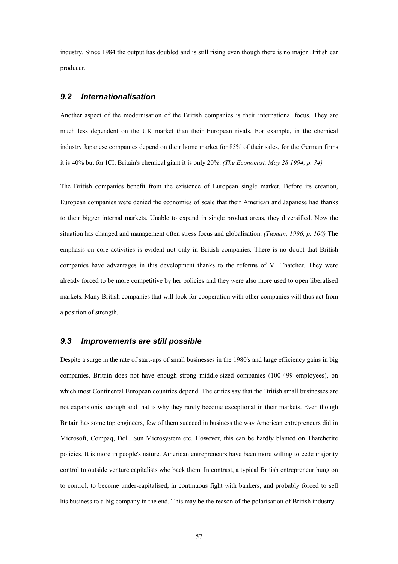industry. Since 1984 the output has doubled and is still rising even though there is no major British car producer.

## <span id="page-56-0"></span>*9.2 Internationalisation*

Another aspect of the modernisation of the British companies is their international focus. They are much less dependent on the UK market than their European rivals. For example, in the chemical industry Japanese companies depend on their home market for 85% of their sales, for the German firms it is 40% but for ICI, Britain's chemical giant it is only 20%. *(The Economist, May 28 1994, p. 74)*

The British companies benefit from the existence of European single market. Before its creation, European companies were denied the economies of scale that their American and Japanese had thanks to their bigger internal markets. Unable to expand in single product areas, they diversified. Now the situation has changed and management often stress focus and globalisation. *(Tieman, 1996, p. 100)* The emphasis on core activities is evident not only in British companies. There is no doubt that British companies have advantages in this development thanks to the reforms of M. Thatcher. They were already forced to be more competitive by her policies and they were also more used to open liberalised markets. Many British companies that will look for cooperation with other companies will thus act from a position of strength.

## <span id="page-56-1"></span>*9.3 Improvements are still possible*

Despite a surge in the rate of start-ups of small businesses in the 1980's and large efficiency gains in big companies, Britain does not have enough strong middle-sized companies (100-499 employees), on which most Continental European countries depend. The critics say that the British small businesses are not expansionist enough and that is why they rarely become exceptional in their markets. Even though Britain has some top engineers, few of them succeed in business the way American entrepreneurs did in Microsoft, Compaq, Dell, Sun Microsystem etc. However, this can be hardly blamed on Thatcherite policies. It is more in people's nature. American entrepreneurs have been more willing to cede majority control to outside venture capitalists who back them. In contrast, a typical British entrepreneur hung on to control, to become under-capitalised, in continuous fight with bankers, and probably forced to sell his business to a big company in the end. This may be the reason of the polarisation of British industry -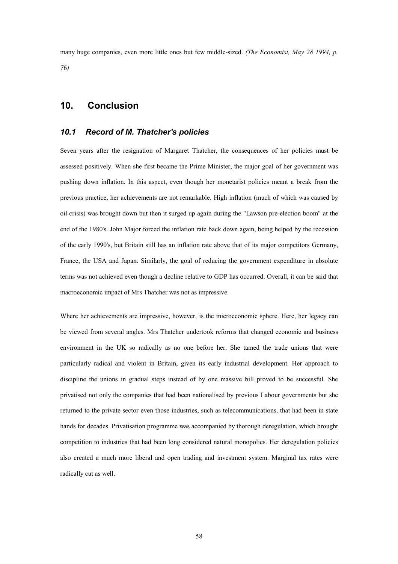many huge companies, even more little ones but few middle-sized. *(The Economist, May 28 1994, p. 7*6*)*

## <span id="page-57-0"></span>**10. Conclusion**

## <span id="page-57-1"></span>*10.1 Record of M. Thatcher's policies*

Seven years after the resignation of Margaret Thatcher, the consequences of her policies must be assessed positively. When she first became the Prime Minister, the major goal of her government was pushing down inflation. In this aspect, even though her monetarist policies meant a break from the previous practice, her achievements are not remarkable. High inflation (much of which was caused by oil crisis) was brought down but then it surged up again during the "Lawson pre-election boom" at the end of the 1980's. John Major forced the inflation rate back down again, being helped by the recession of the early 1990's, but Britain still has an inflation rate above that of its major competitors Germany, France, the USA and Japan. Similarly, the goal of reducing the government expenditure in absolute terms was not achieved even though a decline relative to GDP has occurred. Overall, it can be said that macroeconomic impact of Mrs Thatcher was not as impressive.

Where her achievements are impressive, however, is the microeconomic sphere. Here, her legacy can be viewed from several angles. Mrs Thatcher undertook reforms that changed economic and business environment in the UK so radically as no one before her. She tamed the trade unions that were particularly radical and violent in Britain, given its early industrial development. Her approach to discipline the unions in gradual steps instead of by one massive bill proved to be successful. She privatised not only the companies that had been nationalised by previous Labour governments but she returned to the private sector even those industries, such as telecommunications, that had been in state hands for decades. Privatisation programme was accompanied by thorough deregulation, which brought competition to industries that had been long considered natural monopolies. Her deregulation policies also created a much more liberal and open trading and investment system. Marginal tax rates were radically cut as well.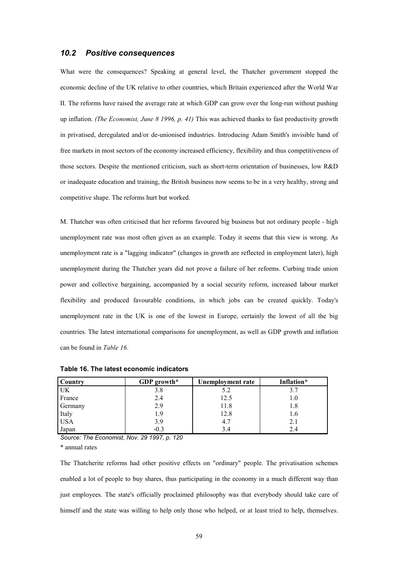## <span id="page-58-0"></span>*10.2 Positive consequences*

What were the consequences? Speaking at general level, the Thatcher government stopped the economic decline of the UK relative to other countries, which Britain experienced after the World War II. The reforms have raised the average rate at which GDP can grow over the long-run without pushing up inflation. *(The Economist, June 8 1996, p. 41)* This was achieved thanks to fast productivity growth in privatised, deregulated and/or de-unionised industries. Introducing Adam Smith's invisible hand of free markets in most sectors of the economy increased efficiency, flexibility and thus competitiveness of those sectors. Despite the mentioned criticism, such as short-term orientation of businesses, low R&D or inadequate education and training, the British business now seems to be in a very healthy, strong and competitive shape. The reforms hurt but worked.

M. Thatcher was often criticised that her reforms favoured big business but not ordinary people - high unemployment rate was most often given as an example. Today it seems that this view is wrong. As unemployment rate is a "lagging indicator" (changes in growth are reflected in employment later), high unemployment during the Thatcher years did not prove a failure of her reforms. Curbing trade union power and collective bargaining, accompanied by a social security reform, increased labour market flexibility and produced favourable conditions, in which jobs can be created quickly. Today's unemployment rate in the UK is one of the lowest in Europe, certainly the lowest of all the big countries. The latest international comparisons for unemployment, as well as GDP growth and inflation can be found in *Table 16*.

| Country    | GDP growth* | Unemployment rate | Inflation* |
|------------|-------------|-------------------|------------|
| UK         | 3.8         | 5.2               | 3.7        |
| France     | 2.4         | 12.5              | 1.0        |
| Germany    | 2.9         | 11.8              | 1.8        |
| Italy      | 1.9         | 12.8              | 1.6        |
| <b>USA</b> | 3.9         | 4.7               | 2.1        |
| Japan      | $-0.3$      | 3.4               | 2.4        |

<span id="page-58-1"></span>**Table 16. The latest economic indicators**

*Source: The Economist, Nov. 29 1997, p. 120*

\* annual rates

The Thatcherite reforms had other positive effects on "ordinary" people. The privatisation schemes enabled a lot of people to buy shares, thus participating in the economy in a much different way than just employees. The state's officially proclaimed philosophy was that everybody should take care of himself and the state was willing to help only those who helped, or at least tried to help, themselves.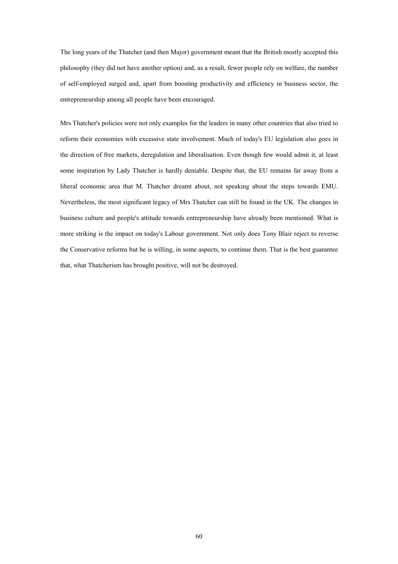The long years of the Thatcher (and then Major) government meant that the British mostly accepted this philosophy (they did not have another option) and, as a result, fewer people rely on welfare, the number of self-employed surged and, apart from boosting productivity and efficiency in business sector, the entrepreneurship among all people have been encouraged.

Mrs Thatcher's policies were not only examples for the leaders in many other countries that also tried to reform their economies with excessive state involvement. Much of today's EU legislation also goes in the direction of free markets, deregulation and liberalisation. Even though few would admit it, at least some inspiration by Lady Thatcher is hardly deniable. Despite that, the EU remains far away from a liberal economic area that M. Thatcher dreamt about, not speaking about the steps towards EMU. Nevertheless, the most significant legacy of Mrs Thatcher can still be found in the UK. The changes in business culture and people's attitude towards entrepreneurship have already been mentioned. What is more striking is the impact on today's Labour government. Not only does Tony Blair reject to reverse the Conservative reforms but he is willing, in some aspects, to continue them. That is the best guarantee that, what Thatcherism has brought positive, will not be destroyed.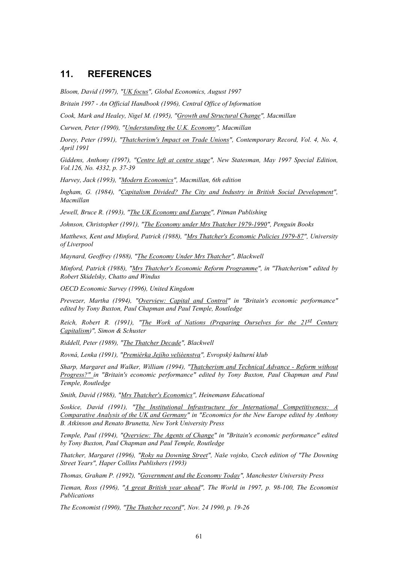## <span id="page-60-0"></span>**11. REFERENCES**

*Bloom, David (1997), "UK focus", Global Economics, August 1997*

*Britain 1997 - An Official Handbook (1996), Central Office of Information*

*Cook, Mark and Healey, Nigel M. (1995), "Growth and Structural Change", Macmillan*

*Curwen, Peter (1990), "Understanding the U.K. Economy", Macmillan*

*Dorey, Peter (1991), "Thatcherism's Impact on Trade Unions", Contemporary Record, Vol. 4, No. 4, April 1991*

*Giddens, Anthony (1997), "Centre left at centre stage", New Statesman, May 1997 Special Edition, Vol.126, No. 4332, p. 37-39*

*Harvey, Jack (1993), "Modern Economics", Macmillan, 6th edition*

*Ingham, G. (1984), "Capitalism Divided? The City and Industry in British Social Development", Macmillan*

*Jewell, Bruce R. (1993), "The UK Economy and Europe", Pitman Publishing*

*Johnson, Christopher (1991), "The Economy under Mrs Thatcher 1979-1990", Penguin Books*

*Matthews, Kent and Minford, Patrick (1988), "Mrs Thatcher's Economic Policies 1979-87", University of Liverpool*

*Maynard, Geoffrey (1988), "The Economy Under Mrs Thatcher", Blackwell*

*Minford, Patrick (1988), "Mrs Thatcher's Economic Reform Programme", in "Thatcherism" edited by Robert Skidelsky, Chatto and Windus*

*OECD Economic Survey (1996), United Kingdom*

*Prevezer, Martha (1994), "Overview: Capital and Control" in "Britain's economic performance" edited by Tony Buxton, Paul Chapman and Paul Temple, Routledge*

*Reich, Robert R. (1991), "The Work of Nations (Preparing Ourselves for the 21st Century Capitalism)", Simon & Schuster*

*Riddell, Peter (1989), "The Thatcher Decade", Blackwell*

*Rovná, Lenka (1991), "Premiérka Jejího velièenstva", Evropský kulturní klub*

*Sharp, Margaret and Walker, William (1994), "Thatcherism and Technical Advance - Reform without Progress?" in "Britain's economic performance" edited by Tony Buxton, Paul Chapman and Paul Temple, Routledge*

*Smith, David (1988), "Mrs Thatcher's Economics", Heinemann Educational*

*Soskice, David (1991), "The Institutional Infrastructure for International Competitiveness: A Comparative Analysis of the UK and Germany" in "Economics for the New Europe edited by Anthony B. Atkinson and Renato Brunetta, New York University Press*

*Temple, Paul (1994), "Overview: The Agents of Change" in "Britain's economic performance" edited by Tony Buxton, Paul Chapman and Paul Temple, Routledge*

*Thatcher, Margaret (1996), "Roky na Downing Street", Naše vojsko, Czech edition of "The Downing Street Years", Haper Collins Publishers (1993)*

*Thomas, Graham P. (1992), "Government and the Economy Today", Manchester University Press*

*Tieman, Ross (1996), "A great British year ahead", The World in 1997, p. 98-100, The Economist Publications*

*The Economist (1990), "The Thatcher record", Nov. 24 1990, p. 19-26*